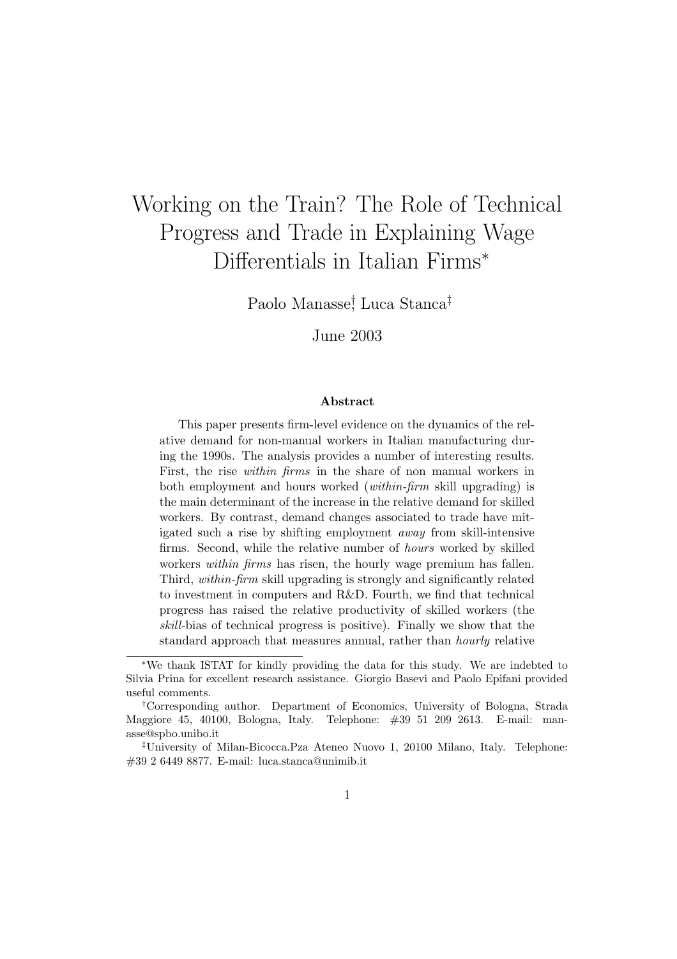# Working on the Train? The Role of Technical Progress and Trade in Explaining Wage Differentials in Italian Firms<sup>∗</sup>

Paolo Manasse† , Luca Stanca‡

June 2003

#### Abstract

This paper presents firm-level evidence on the dynamics of the relative demand for non-manual workers in Italian manufacturing during the 1990s. The analysis provides a number of interesting results. First, the rise within firms in the share of non manual workers in both employment and hours worked (within-firm skill upgrading) is the main determinant of the increase in the relative demand for skilled workers. By contrast, demand changes associated to trade have mitigated such a rise by shifting employment away from skill-intensive firms. Second, while the relative number of hours worked by skilled workers within firms has risen, the hourly wage premium has fallen. Third, within-firm skill upgrading is strongly and significantly related to investment in computers and R&D. Fourth, we find that technical progress has raised the relative productivity of skilled workers (the skill-bias of technical progress is positive). Finally we show that the standard approach that measures annual, rather than hourly relative

<sup>∗</sup>We thank ISTAT for kindly providing the data for this study. We are indebted to Silvia Prina for excellent research assistance. Giorgio Basevi and Paolo Epifani provided useful comments.

<sup>†</sup>Corresponding author. Department of Economics, University of Bologna, Strada Maggiore 45, 40100, Bologna, Italy. Telephone: #39 51 209 2613. E-mail: manasse@spbo.unibo.it

<sup>‡</sup>University of Milan-Bicocca.Pza Ateneo Nuovo 1, 20100 Milano, Italy. Telephone: #39 2 6449 8877. E-mail: luca.stanca@unimib.it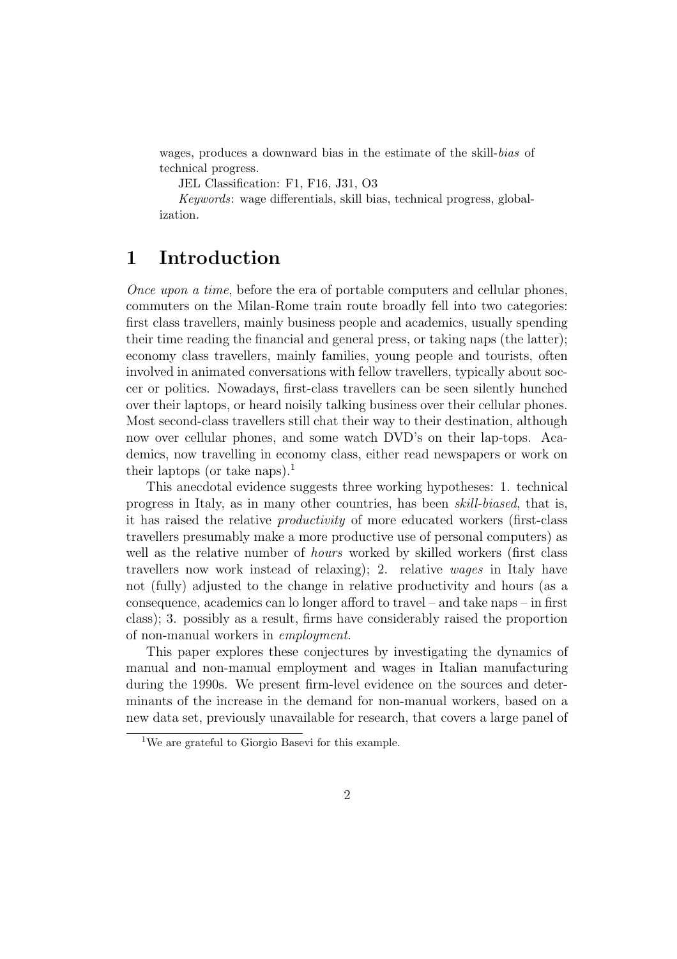wages, produces a downward bias in the estimate of the skill-bias of technical progress.

JEL Classification: F1, F16, J31, O3

Keywords: wage differentials, skill bias, technical progress, globalization.

#### 1 Introduction

Once upon a time, before the era of portable computers and cellular phones, commuters on the Milan-Rome train route broadly fell into two categories: first class travellers, mainly business people and academics, usually spending their time reading the financial and general press, or taking naps (the latter); economy class travellers, mainly families, young people and tourists, often involved in animated conversations with fellow travellers, typically about soccer or politics. Nowadays, first-class travellers can be seen silently hunched over their laptops, or heard noisily talking business over their cellular phones. Most second-class travellers still chat their way to their destination, although now over cellular phones, and some watch DVD's on their lap-tops. Academics, now travelling in economy class, either read newspapers or work on their laptops (or take naps).<sup>1</sup>

This anecdotal evidence suggests three working hypotheses: 1. technical progress in Italy, as in many other countries, has been skill-biased, that is, it has raised the relative productivity of more educated workers (first-class travellers presumably make a more productive use of personal computers) as well as the relative number of *hours* worked by skilled workers (first class travellers now work instead of relaxing); 2. relative wages in Italy have not (fully) adjusted to the change in relative productivity and hours (as a consequence, academics can lo longer afford to travel – and take naps – in first class); 3. possibly as a result, firms have considerably raised the proportion of non-manual workers in employment.

This paper explores these conjectures by investigating the dynamics of manual and non-manual employment and wages in Italian manufacturing during the 1990s. We present firm-level evidence on the sources and determinants of the increase in the demand for non-manual workers, based on a new data set, previously unavailable for research, that covers a large panel of

<sup>1</sup>We are grateful to Giorgio Basevi for this example.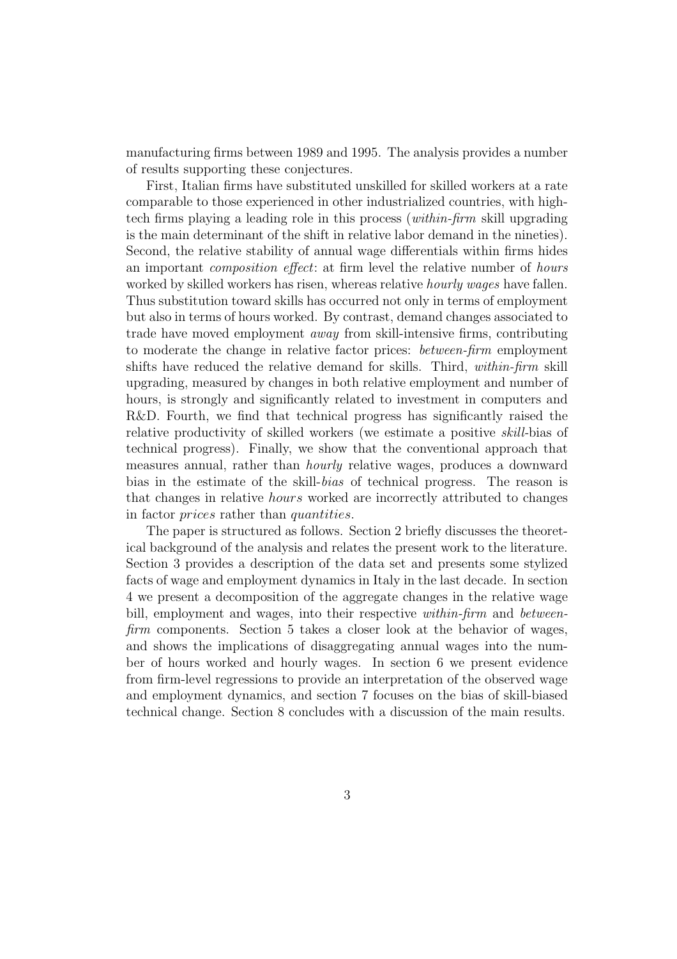manufacturing firms between 1989 and 1995. The analysis provides a number of results supporting these conjectures.

First, Italian firms have substituted unskilled for skilled workers at a rate comparable to those experienced in other industrialized countries, with hightech firms playing a leading role in this process (within-firm skill upgrading is the main determinant of the shift in relative labor demand in the nineties). Second, the relative stability of annual wage differentials within firms hides an important composition effect: at firm level the relative number of hours worked by skilled workers has risen, whereas relative *hourly wages* have fallen. Thus substitution toward skills has occurred not only in terms of employment but also in terms of hours worked. By contrast, demand changes associated to trade have moved employment away from skill-intensive firms, contributing to moderate the change in relative factor prices: between-firm employment shifts have reduced the relative demand for skills. Third, within-firm skill upgrading, measured by changes in both relative employment and number of hours, is strongly and significantly related to investment in computers and R&D. Fourth, we find that technical progress has significantly raised the relative productivity of skilled workers (we estimate a positive skill-bias of technical progress). Finally, we show that the conventional approach that measures annual, rather than hourly relative wages, produces a downward bias in the estimate of the skill-bias of technical progress. The reason is that changes in relative hours worked are incorrectly attributed to changes in factor prices rather than quantities.

The paper is structured as follows. Section 2 briefly discusses the theoretical background of the analysis and relates the present work to the literature. Section 3 provides a description of the data set and presents some stylized facts of wage and employment dynamics in Italy in the last decade. In section 4 we present a decomposition of the aggregate changes in the relative wage bill, employment and wages, into their respective *within-firm* and *between*firm components. Section 5 takes a closer look at the behavior of wages, and shows the implications of disaggregating annual wages into the number of hours worked and hourly wages. In section 6 we present evidence from firm-level regressions to provide an interpretation of the observed wage and employment dynamics, and section 7 focuses on the bias of skill-biased technical change. Section 8 concludes with a discussion of the main results.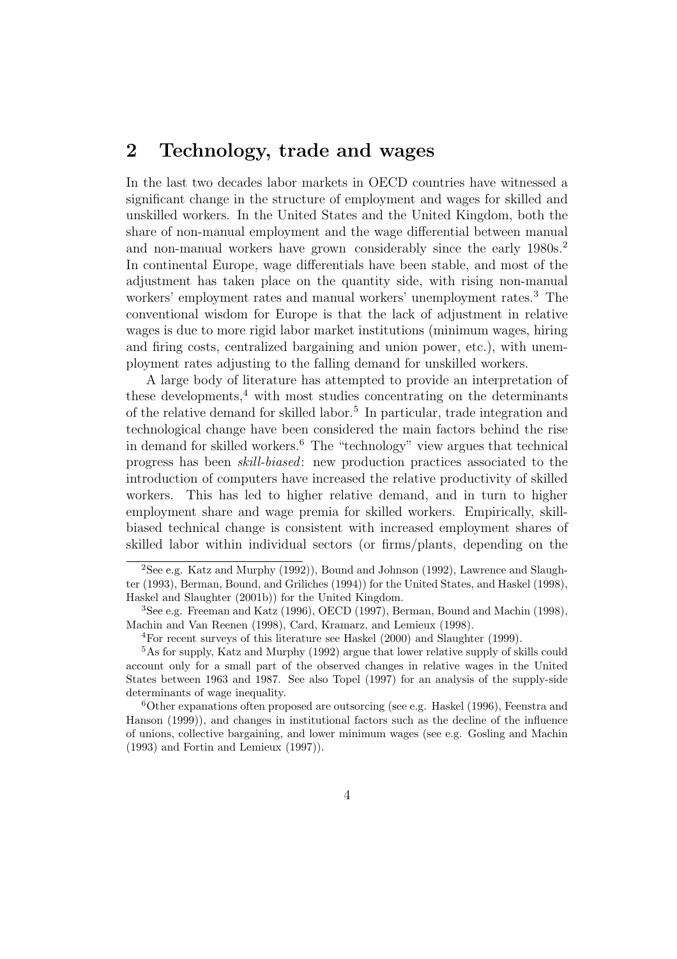### 2 Technology, trade and wages

In the last two decades labor markets in OECD countries have witnessed a significant change in the structure of employment and wages for skilled and unskilled workers. In the United States and the United Kingdom, both the share of non-manual employment and the wage differential between manual and non-manual workers have grown considerably since the early 1980s.<sup>2</sup> In continental Europe, wage differentials have been stable, and most of the adjustment has taken place on the quantity side, with rising non-manual workers' employment rates and manual workers' unemployment rates.<sup>3</sup> The conventional wisdom for Europe is that the lack of adjustment in relative wages is due to more rigid labor market institutions (minimum wages, hiring and firing costs, centralized bargaining and union power, etc.), with unemployment rates adjusting to the falling demand for unskilled workers.

A large body of literature has attempted to provide an interpretation of these developments, $4$  with most studies concentrating on the determinants of the relative demand for skilled labor.<sup>5</sup> In particular, trade integration and technological change have been considered the main factors behind the rise in demand for skilled workers.<sup>6</sup> The "technology" view argues that technical progress has been skill-biased: new production practices associated to the introduction of computers have increased the relative productivity of skilled workers. This has led to higher relative demand, and in turn to higher employment share and wage premia for skilled workers. Empirically, skillbiased technical change is consistent with increased employment shares of skilled labor within individual sectors (or firms/plants, depending on the

<sup>&</sup>lt;sup>2</sup>See e.g. Katz and Murphy (1992)), Bound and Johnson (1992), Lawrence and Slaughter (1993), Berman, Bound, and Griliches (1994)) for the United States, and Haskel (1998), Haskel and Slaughter (2001b)) for the United Kingdom.

<sup>3</sup>See e.g. Freeman and Katz (1996), OECD (1997), Berman, Bound and Machin (1998), Machin and Van Reenen (1998), Card, Kramarz, and Lemieux (1998).

<sup>4</sup>For recent surveys of this literature see Haskel (2000) and Slaughter (1999).

<sup>5</sup>As for supply, Katz and Murphy (1992) argue that lower relative supply of skills could account only for a small part of the observed changes in relative wages in the United States between 1963 and 1987. See also Topel (1997) for an analysis of the supply-side determinants of wage inequality.

<sup>6</sup>Other expanations often proposed are outsorcing (see e.g. Haskel (1996), Feenstra and Hanson (1999)), and changes in institutional factors such as the decline of the influence of unions, collective bargaining, and lower minimum wages (see e.g. Gosling and Machin (1993) and Fortin and Lemieux (1997)).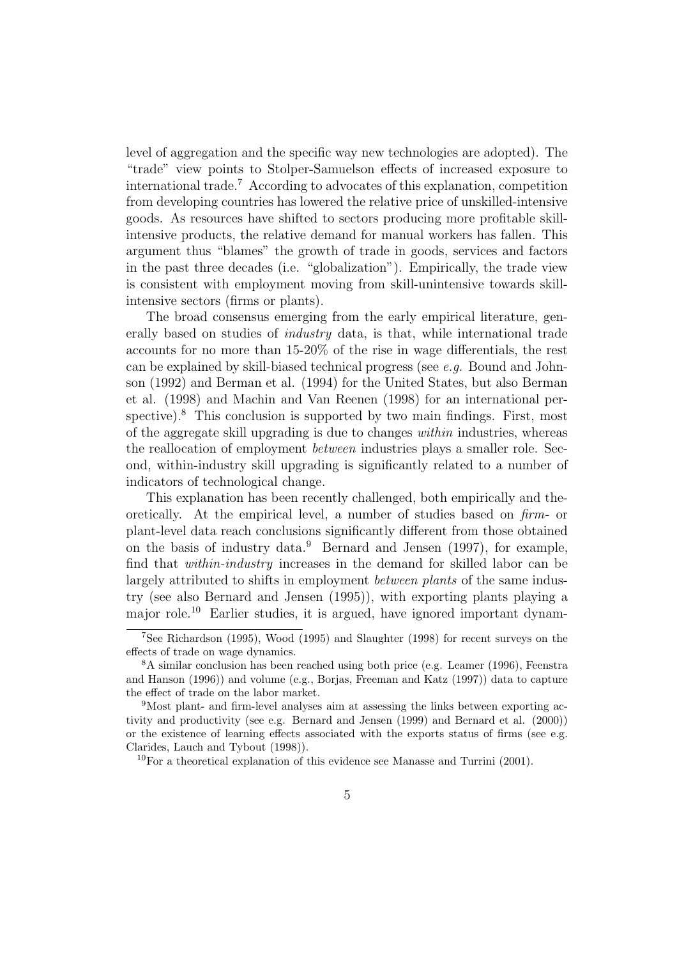level of aggregation and the specific way new technologies are adopted). The "trade" view points to Stolper-Samuelson effects of increased exposure to international trade.<sup>7</sup> According to advocates of this explanation, competition from developing countries has lowered the relative price of unskilled-intensive goods. As resources have shifted to sectors producing more profitable skillintensive products, the relative demand for manual workers has fallen. This argument thus "blames" the growth of trade in goods, services and factors in the past three decades (i.e. "globalization"). Empirically, the trade view is consistent with employment moving from skill-unintensive towards skillintensive sectors (firms or plants).

The broad consensus emerging from the early empirical literature, generally based on studies of industry data, is that, while international trade accounts for no more than 15-20% of the rise in wage differentials, the rest can be explained by skill-biased technical progress (see e.g. Bound and Johnson (1992) and Berman et al. (1994) for the United States, but also Berman et al. (1998) and Machin and Van Reenen (1998) for an international perspective).<sup>8</sup> This conclusion is supported by two main findings. First, most of the aggregate skill upgrading is due to changes within industries, whereas the reallocation of employment between industries plays a smaller role. Second, within-industry skill upgrading is significantly related to a number of indicators of technological change.

This explanation has been recently challenged, both empirically and theoretically. At the empirical level, a number of studies based on firm- or plant-level data reach conclusions significantly different from those obtained on the basis of industry data. <sup>9</sup> Bernard and Jensen (1997), for example, find that within-industry increases in the demand for skilled labor can be largely attributed to shifts in employment between plants of the same industry (see also Bernard and Jensen (1995)), with exporting plants playing a major role.<sup>10</sup> Earlier studies, it is argued, have ignored important dynam-

<sup>7</sup>See Richardson (1995), Wood (1995) and Slaughter (1998) for recent surveys on the effects of trade on wage dynamics.

<sup>8</sup>A similar conclusion has been reached using both price (e.g. Leamer (1996), Feenstra and Hanson (1996)) and volume (e.g., Borjas, Freeman and Katz (1997)) data to capture the effect of trade on the labor market.

<sup>9</sup>Most plant- and firm-level analyses aim at assessing the links between exporting activity and productivity (see e.g. Bernard and Jensen (1999) and Bernard et al. (2000)) or the existence of learning effects associated with the exports status of firms (see e.g. Clarides, Lauch and Tybout (1998)).

<sup>&</sup>lt;sup>10</sup>For a theoretical explanation of this evidence see Manasse and Turrini (2001).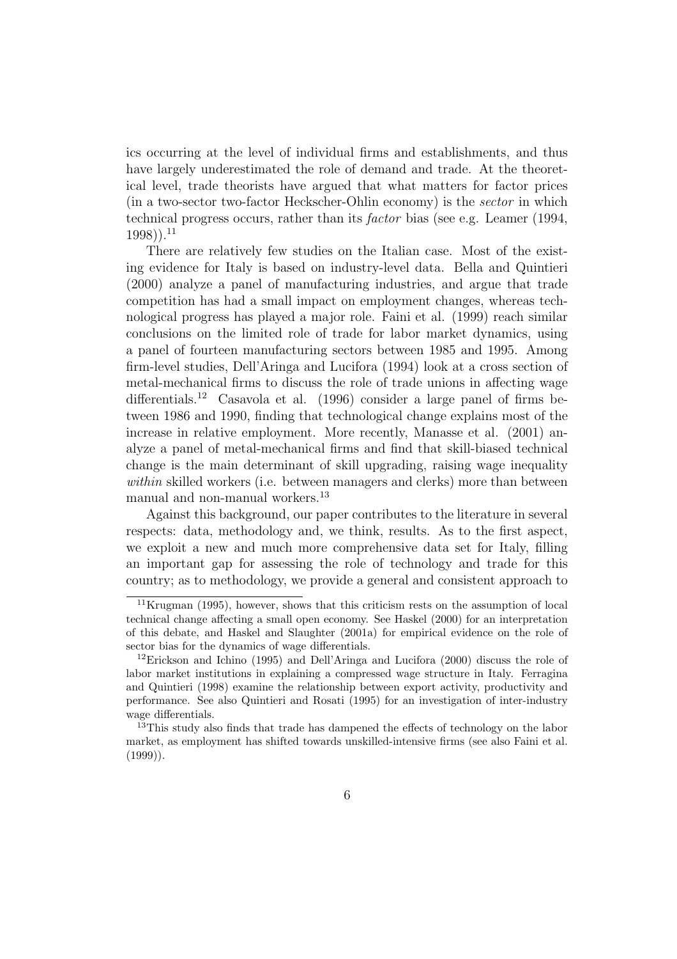ics occurring at the level of individual firms and establishments, and thus have largely underestimated the role of demand and trade. At the theoretical level, trade theorists have argued that what matters for factor prices (in a two-sector two-factor Heckscher-Ohlin economy) is the sector in which technical progress occurs, rather than its factor bias (see e.g. Leamer (1994,  $(1998)$ ).<sup>11</sup>

There are relatively few studies on the Italian case. Most of the existing evidence for Italy is based on industry-level data. Bella and Quintieri (2000) analyze a panel of manufacturing industries, and argue that trade competition has had a small impact on employment changes, whereas technological progress has played a major role. Faini et al. (1999) reach similar conclusions on the limited role of trade for labor market dynamics, using a panel of fourteen manufacturing sectors between 1985 and 1995. Among firm-level studies, Dell'Aringa and Lucifora (1994) look at a cross section of metal-mechanical firms to discuss the role of trade unions in affecting wage differentials.<sup>12</sup> Casavola et al. (1996) consider a large panel of firms between 1986 and 1990, finding that technological change explains most of the increase in relative employment. More recently, Manasse et al. (2001) analyze a panel of metal-mechanical firms and find that skill-biased technical change is the main determinant of skill upgrading, raising wage inequality within skilled workers (i.e. between managers and clerks) more than between manual and non-manual workers.<sup>13</sup>

Against this background, our paper contributes to the literature in several respects: data, methodology and, we think, results. As to the first aspect, we exploit a new and much more comprehensive data set for Italy, filling an important gap for assessing the role of technology and trade for this country; as to methodology, we provide a general and consistent approach to

<sup>11</sup>Krugman (1995), however, shows that this criticism rests on the assumption of local technical change affecting a small open economy. See Haskel (2000) for an interpretation of this debate, and Haskel and Slaughter (2001a) for empirical evidence on the role of sector bias for the dynamics of wage differentials.

<sup>12</sup>Erickson and Ichino (1995) and Dell'Aringa and Lucifora (2000) discuss the role of labor market institutions in explaining a compressed wage structure in Italy. Ferragina and Quintieri (1998) examine the relationship between export activity, productivity and performance. See also Quintieri and Rosati (1995) for an investigation of inter-industry wage differentials.

<sup>&</sup>lt;sup>13</sup>This study also finds that trade has dampened the effects of technology on the labor market, as employment has shifted towards unskilled-intensive firms (see also Faini et al. (1999)).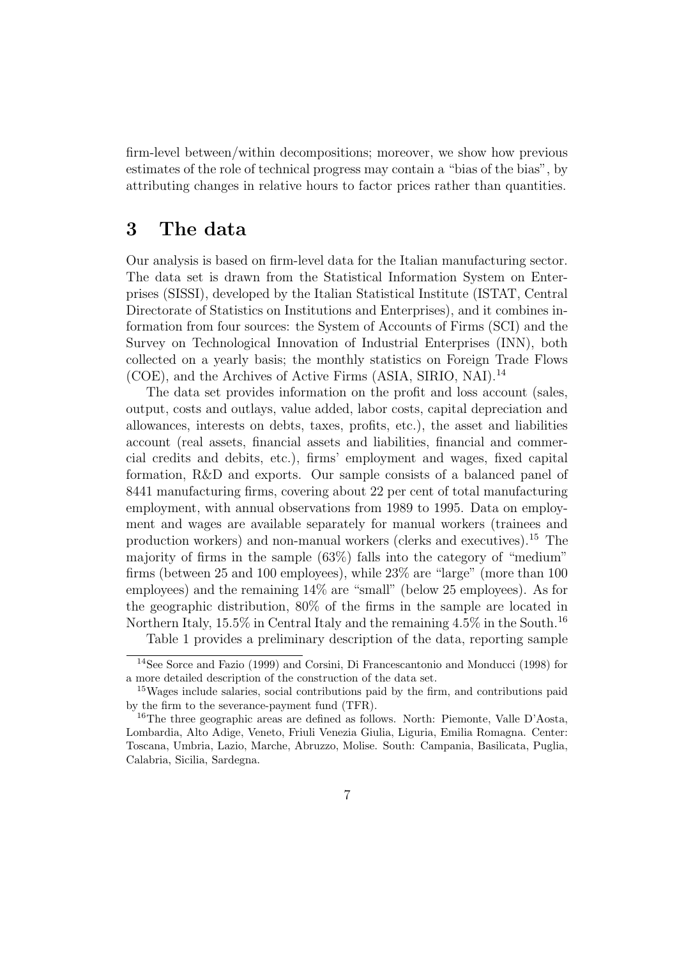firm-level between/within decompositions; moreover, we show how previous estimates of the role of technical progress may contain a "bias of the bias", by attributing changes in relative hours to factor prices rather than quantities.

#### 3 The data

Our analysis is based on firm-level data for the Italian manufacturing sector. The data set is drawn from the Statistical Information System on Enterprises (SISSI), developed by the Italian Statistical Institute (ISTAT, Central Directorate of Statistics on Institutions and Enterprises), and it combines information from four sources: the System of Accounts of Firms (SCI) and the Survey on Technological Innovation of Industrial Enterprises (INN), both collected on a yearly basis; the monthly statistics on Foreign Trade Flows (COE), and the Archives of Active Firms (ASIA, SIRIO, NAI).<sup>14</sup>

The data set provides information on the profit and loss account (sales, output, costs and outlays, value added, labor costs, capital depreciation and allowances, interests on debts, taxes, profits, etc.), the asset and liabilities account (real assets, financial assets and liabilities, financial and commercial credits and debits, etc.), firms' employment and wages, fixed capital formation, R&D and exports. Our sample consists of a balanced panel of 8441 manufacturing firms, covering about 22 per cent of total manufacturing employment, with annual observations from 1989 to 1995. Data on employment and wages are available separately for manual workers (trainees and production workers) and non-manual workers (clerks and executives).<sup>15</sup> The majority of firms in the sample  $(63\%)$  falls into the category of "medium" firms (between 25 and 100 employees), while 23% are "large" (more than 100 employees) and the remaining 14% are "small" (below 25 employees). As for the geographic distribution, 80% of the firms in the sample are located in Northern Italy, 15.5% in Central Italy and the remaining 4.5% in the South.<sup>16</sup>

Table 1 provides a preliminary description of the data, reporting sample

<sup>14</sup>See Sorce and Fazio (1999) and Corsini, Di Francescantonio and Monducci (1998) for a more detailed description of the construction of the data set.

<sup>15</sup>Wages include salaries, social contributions paid by the firm, and contributions paid by the firm to the severance-payment fund (TFR).

<sup>&</sup>lt;sup>16</sup>The three geographic areas are defined as follows. North: Piemonte, Valle D'Aosta, Lombardia, Alto Adige, Veneto, Friuli Venezia Giulia, Liguria, Emilia Romagna. Center: Toscana, Umbria, Lazio, Marche, Abruzzo, Molise. South: Campania, Basilicata, Puglia, Calabria, Sicilia, Sardegna.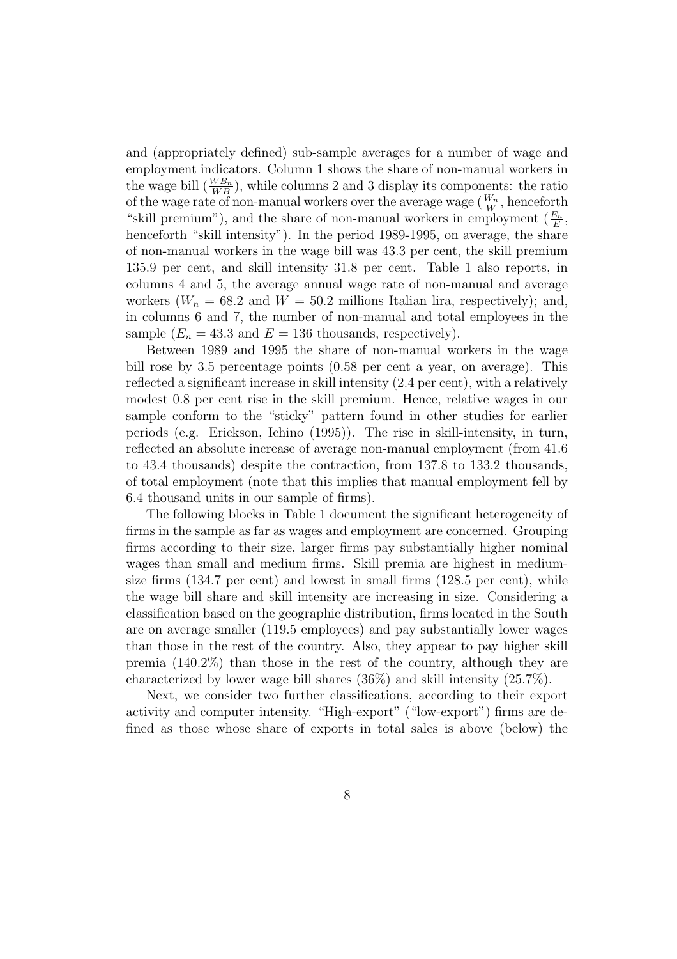and (appropriately defined) sub-sample averages for a number of wage and employment indicators. Column 1 shows the share of non-manual workers in the wage bill  $\left(\frac{WB_n}{WB_m}\right)$  $\frac{W B_n}{W B}$ , while columns 2 and 3 display its components: the ratio of the wage rate of non-manual workers over the average wage  $\left(\frac{W_n}{W}\right)$  $\frac{W_n}{W}$ , henceforth "skill premium"), and the share of non-manual workers in employment  $(\frac{E_n}{E_n})$  $\frac{E_n}{E},$ henceforth "skill intensity"). In the period 1989-1995, on average, the share of non-manual workers in the wage bill was 43.3 per cent, the skill premium 135.9 per cent, and skill intensity 31.8 per cent. Table 1 also reports, in columns 4 and 5, the average annual wage rate of non-manual and average workers  $(W_n = 68.2 \text{ and } W = 50.2 \text{ millions Italian lira, respectively});$  and, in columns 6 and 7, the number of non-manual and total employees in the sample  $(E_n = 43.3 \text{ and } E = 136 \text{ thousands, respectively}).$ 

Between 1989 and 1995 the share of non-manual workers in the wage bill rose by 3.5 percentage points (0.58 per cent a year, on average). This reflected a significant increase in skill intensity (2.4 per cent), with a relatively modest 0.8 per cent rise in the skill premium. Hence, relative wages in our sample conform to the "sticky" pattern found in other studies for earlier periods (e.g. Erickson, Ichino (1995)). The rise in skill-intensity, in turn, reflected an absolute increase of average non-manual employment (from 41.6 to 43.4 thousands) despite the contraction, from 137.8 to 133.2 thousands, of total employment (note that this implies that manual employment fell by 6.4 thousand units in our sample of firms).

The following blocks in Table 1 document the significant heterogeneity of firms in the sample as far as wages and employment are concerned. Grouping firms according to their size, larger firms pay substantially higher nominal wages than small and medium firms. Skill premia are highest in mediumsize firms (134.7 per cent) and lowest in small firms (128.5 per cent), while the wage bill share and skill intensity are increasing in size. Considering a classification based on the geographic distribution, firms located in the South are on average smaller (119.5 employees) and pay substantially lower wages than those in the rest of the country. Also, they appear to pay higher skill premia (140.2%) than those in the rest of the country, although they are characterized by lower wage bill shares  $(36\%)$  and skill intensity  $(25.7\%).$ 

Next, we consider two further classifications, according to their export activity and computer intensity. "High-export" ("low-export") firms are defined as those whose share of exports in total sales is above (below) the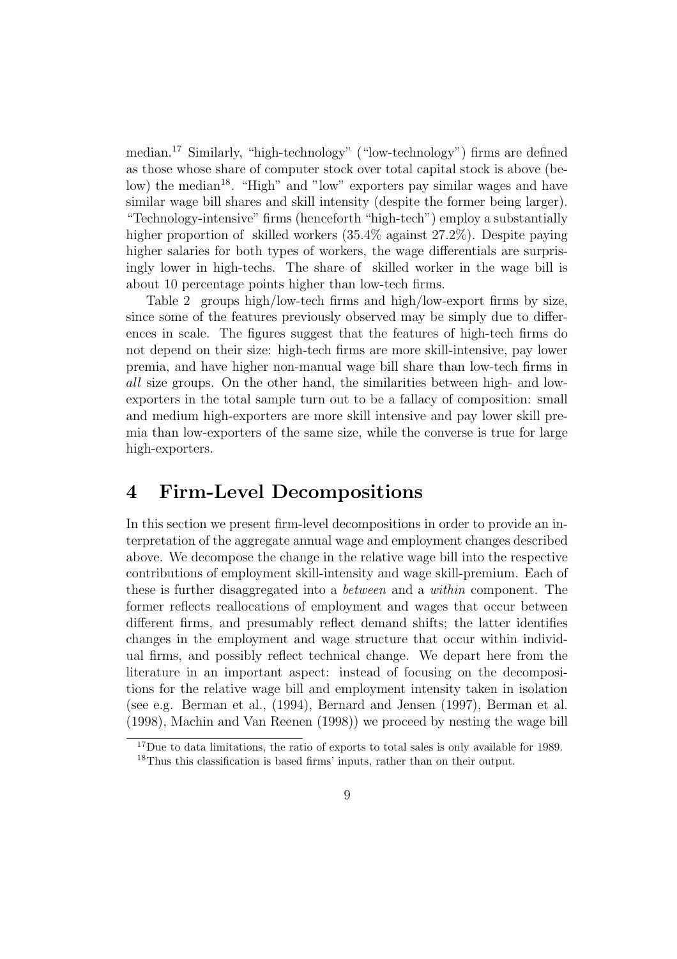median.<sup>17</sup> Similarly, "high-technology" ("low-technology") firms are defined as those whose share of computer stock over total capital stock is above (below) the median<sup>18</sup>. "High" and "low" exporters pay similar wages and have similar wage bill shares and skill intensity (despite the former being larger). "Technology-intensive" firms (henceforth "high-tech") employ a substantially higher proportion of skilled workers  $(35.4\% \text{ against } 27.2\%)$ . Despite paying higher salaries for both types of workers, the wage differentials are surprisingly lower in high-techs. The share of skilled worker in the wage bill is about 10 percentage points higher than low-tech firms.

Table 2 groups high/low-tech firms and high/low-export firms by size, since some of the features previously observed may be simply due to differences in scale. The figures suggest that the features of high-tech firms do not depend on their size: high-tech firms are more skill-intensive, pay lower premia, and have higher non-manual wage bill share than low-tech firms in all size groups. On the other hand, the similarities between high- and lowexporters in the total sample turn out to be a fallacy of composition: small and medium high-exporters are more skill intensive and pay lower skill premia than low-exporters of the same size, while the converse is true for large high-exporters.

#### 4 Firm-Level Decompositions

In this section we present firm-level decompositions in order to provide an interpretation of the aggregate annual wage and employment changes described above. We decompose the change in the relative wage bill into the respective contributions of employment skill-intensity and wage skill-premium. Each of these is further disaggregated into a between and a within component. The former reflects reallocations of employment and wages that occur between different firms, and presumably reflect demand shifts; the latter identifies changes in the employment and wage structure that occur within individual firms, and possibly reflect technical change. We depart here from the literature in an important aspect: instead of focusing on the decompositions for the relative wage bill and employment intensity taken in isolation (see e.g. Berman et al., (1994), Bernard and Jensen (1997), Berman et al. (1998), Machin and Van Reenen (1998)) we proceed by nesting the wage bill

<sup>&</sup>lt;sup>17</sup>Due to data limitations, the ratio of exports to total sales is only available for 1989.

<sup>18</sup>Thus this classification is based firms' inputs, rather than on their output.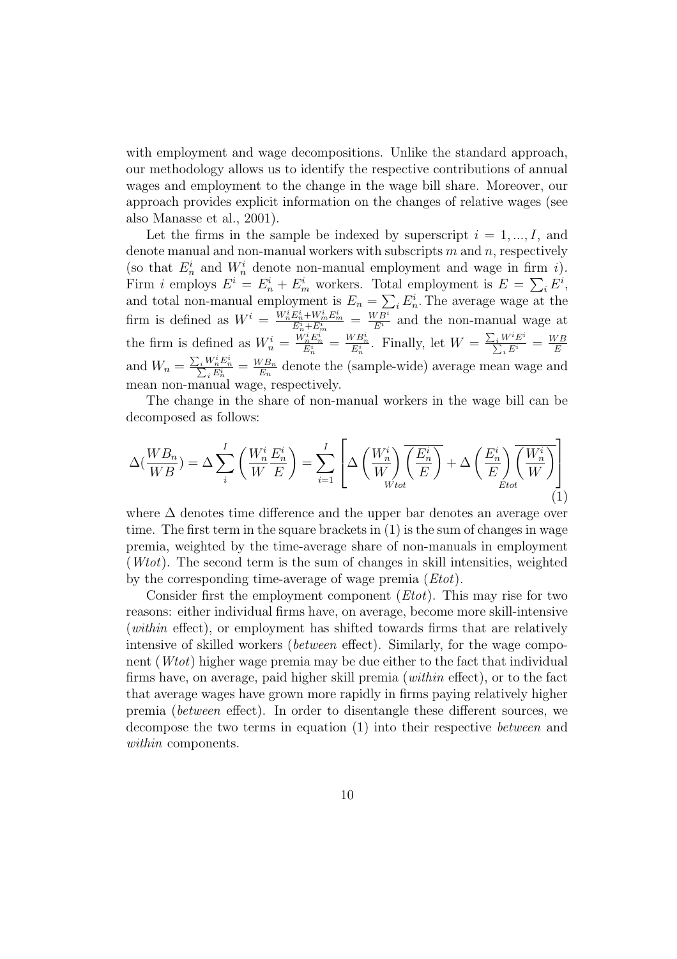with employment and wage decompositions. Unlike the standard approach, our methodology allows us to identify the respective contributions of annual wages and employment to the change in the wage bill share. Moreover, our approach provides explicit information on the changes of relative wages (see also Manasse et al., 2001).

Let the firms in the sample be indexed by superscript  $i = 1, ..., I$ , and denote manual and non-manual workers with subscripts  $m$  and  $n$ , respectively (so that  $E_n^i$  and  $W_n^i$  denote non-manual employment and wage in firm i). n Firm *i* employs  $E^i = E_n^i + E_m^i$  workers. Total employment is  $E = \sum_i E^i$ , and total non-manual employment is  $E_n = \sum_i E_n^i$ . The average wage at the firm is defined as  $W^i = \frac{W_n^i E_n^i + W_m^i E_m^i}{E_n^i + E_n^i}$  $\frac{E_n^i + W_m^i E_m^i}{E_n^i + E_m^i} = \frac{W B^i}{E^i}$  and the non-manual wage at the firm is defined as  $W_n^i = \frac{\tilde{W}_n^i E_n^{i''}}{E_n^i} = \frac{WB_n^i}{E_n^i}$ . Finally, let  $W = \frac{\sum_i W^i E^i}{\sum_i E^i}$  $\frac{\sum_i W^i E^i}{\sum_i E^i} = \frac{WB}{E}$ E and  $W_n = \frac{\sum_i W_n^i E_n^i}{\sum_i E_n^i} = \frac{WB_n}{E_n}$  $\frac{\sqrt{E_h}}{E_n}$  denote the (sample-wide) average mean wage and mean non-manual wage, respectively.

The change in the share of non-manual workers in the wage bill can be decomposed as follows:

$$
\Delta(\frac{WB_n}{WB}) = \Delta \sum_{i}^{I} \left(\frac{W_n^i E_n^i}{W E}\right) = \sum_{i=1}^{I} \left[ \Delta \left(\frac{W_n^i}{W}\right) \overline{\left(\frac{E_n^i}{E}\right)} + \Delta \left(\frac{E_n^i}{E}\right) \overline{\left(\frac{W_n^i}{W}\right)} \right]
$$
(1)

where  $\Delta$  denotes time difference and the upper bar denotes an average over time. The first term in the square brackets in (1) is the sum of changes in wage premia, weighted by the time-average share of non-manuals in employment (Wtot). The second term is the sum of changes in skill intensities, weighted by the corresponding time-average of wage premia (Etot).

Consider first the employment component  $(Etot)$ . This may rise for two reasons: either individual firms have, on average, become more skill-intensive (within effect), or employment has shifted towards firms that are relatively intensive of skilled workers (between effect). Similarly, for the wage component (Wtot) higher wage premia may be due either to the fact that individual firms have, on average, paid higher skill premia (within effect), or to the fact that average wages have grown more rapidly in firms paying relatively higher premia (between effect). In order to disentangle these different sources, we decompose the two terms in equation (1) into their respective between and within components.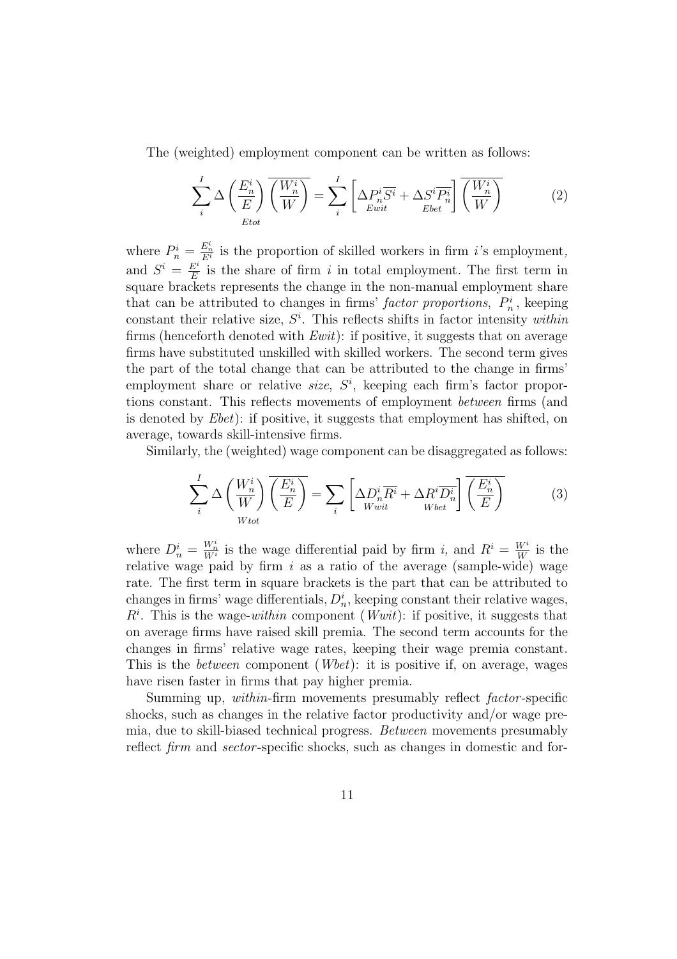The (weighted) employment component can be written as follows:

$$
\sum_{i}^{I} \Delta \left(\frac{E_{n}^{i}}{E}\right) \overline{\left(\frac{W_{n}^{i}}{W}\right)} = \sum_{i}^{I} \left[ \Delta P_{n}^{i} \overline{S^{i}} + \Delta S^{i} \overline{P_{n}^{i}} \right] \overline{\left(\frac{W_{n}^{i}}{W}\right)}
$$
(2)

where  $P_n^i = \frac{E_n^i}{E_i^i}$  is the proportion of skilled workers in firm *i*'s employment, and  $S^i = \frac{E^i}{E}$  $\frac{E^i}{E}$  is the share of firm i in total employment. The first term in square brackets represents the change in the non-manual employment share that can be attributed to changes in firms' *factor proportions*,  $P_n^i$ , keeping constant their relative size,  $S<sup>i</sup>$ . This reflects shifts in factor intensity within firms (henceforth denoted with  $Ewit$ ): if positive, it suggests that on average firms have substituted unskilled with skilled workers. The second term gives the part of the total change that can be attributed to the change in firms' employment share or relative  $size, S<sup>i</sup>$ , keeping each firm's factor proportions constant. This reflects movements of employment between firms (and is denoted by  $Ebet$ : if positive, it suggests that employment has shifted, on average, towards skill-intensive firms.

Similarly, the (weighted) wage component can be disaggregated as follows:

$$
\sum_{i}^{I} \Delta \left(\frac{W_{n}^{i}}{W}\right) \overline{\left(\frac{E_{n}^{i}}{E}\right)} = \sum_{i} \left[ \Delta D_{n}^{i} \overline{R^{i}} + \Delta R^{i} \overline{D_{n}^{i}} \right] \overline{\left(\frac{E_{n}^{i}}{E}\right)} \qquad (3)
$$

where  $D_n^i = \frac{W_n^i}{W^i}$  is the wage differential paid by firm i, and  $R^i = \frac{W^i}{W}$  $\frac{W^i}{W}$  is the relative wage paid by firm  $i$  as a ratio of the average (sample-wide) wage rate. The first term in square brackets is the part that can be attributed to changes in firms' wage differentials,  $D_n^i$ , keeping constant their relative wages,  $R<sup>i</sup>$ . This is the wage-within component (*Wwit*): if positive, it suggests that on average firms have raised skill premia. The second term accounts for the changes in firms' relative wage rates, keeping their wage premia constant. This is the *between* component (*Wbet*): it is positive if, on average, wages have risen faster in firms that pay higher premia.

Summing up, within-firm movements presumably reflect factor -specific shocks, such as changes in the relative factor productivity and/or wage premia, due to skill-biased technical progress. Between movements presumably reflect firm and sector-specific shocks, such as changes in domestic and for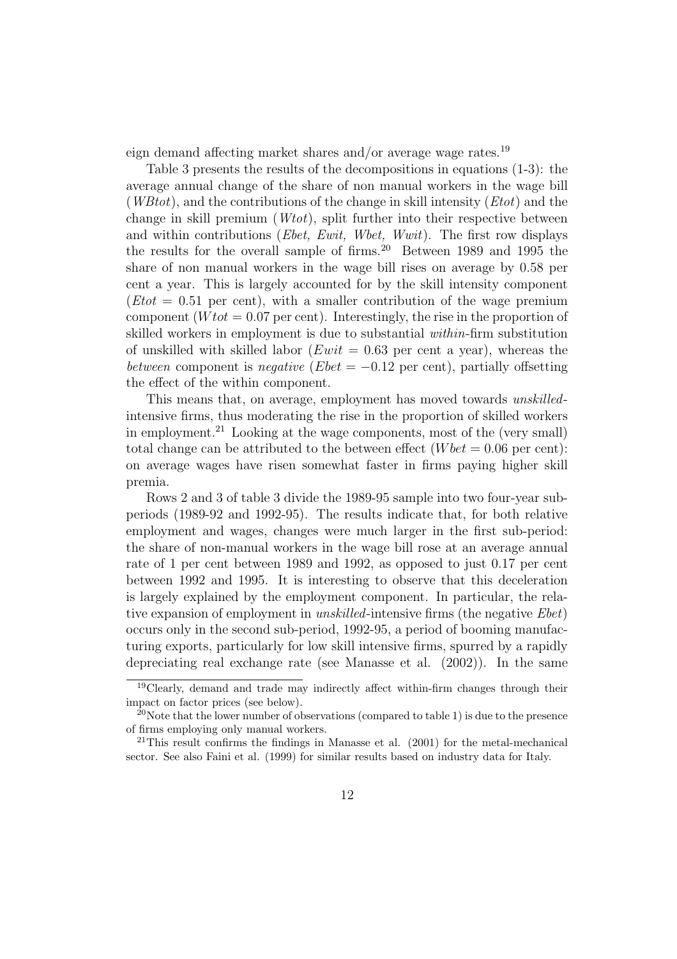eign demand affecting market shares and/or average wage rates.<sup>19</sup>

Table 3 presents the results of the decompositions in equations (1-3): the average annual change of the share of non manual workers in the wage bill  $(WBtot)$ , and the contributions of the change in skill intensity  $(Etot)$  and the change in skill premium (Wtot), split further into their respective between and within contributions (*Ebet, Ewit, Wbet, Wwit*). The first row displays the results for the overall sample of firms.<sup>20</sup> Between 1989 and 1995 the share of non manual workers in the wage bill rises on average by 0.58 per cent a year. This is largely accounted for by the skill intensity component  $(Etot = 0.51$  per cent), with a smaller contribution of the wage premium component ( $W\tau t = 0.07$  per cent). Interestingly, the rise in the proportion of skilled workers in employment is due to substantial within-firm substitution of unskilled with skilled labor ( $Ewit = 0.63$  per cent a year), whereas the between component is negative ( $Ebet = -0.12$  per cent), partially offsetting the effect of the within component.

This means that, on average, employment has moved towards unskilledintensive firms, thus moderating the rise in the proportion of skilled workers in employment.<sup>21</sup> Looking at the wage components, most of the (very small) total change can be attributed to the between effect  $(Wbet = 0.06$  per cent): on average wages have risen somewhat faster in firms paying higher skill premia.

Rows 2 and 3 of table 3 divide the 1989-95 sample into two four-year subperiods (1989-92 and 1992-95). The results indicate that, for both relative employment and wages, changes were much larger in the first sub-period: the share of non-manual workers in the wage bill rose at an average annual rate of 1 per cent between 1989 and 1992, as opposed to just 0.17 per cent between 1992 and 1995. It is interesting to observe that this deceleration is largely explained by the employment component. In particular, the relative expansion of employment in *unskilled*-intensive firms (the negative *Ebet*) occurs only in the second sub-period, 1992-95, a period of booming manufacturing exports, particularly for low skill intensive firms, spurred by a rapidly depreciating real exchange rate (see Manasse et al. (2002)). In the same

<sup>19</sup>Clearly, demand and trade may indirectly affect within-firm changes through their impact on factor prices (see below).

<sup>&</sup>lt;sup>20</sup>Note that the lower number of observations (compared to table 1) is due to the presence of firms employing only manual workers.

<sup>21</sup>This result confirms the findings in Manasse et al. (2001) for the metal-mechanical sector. See also Faini et al. (1999) for similar results based on industry data for Italy.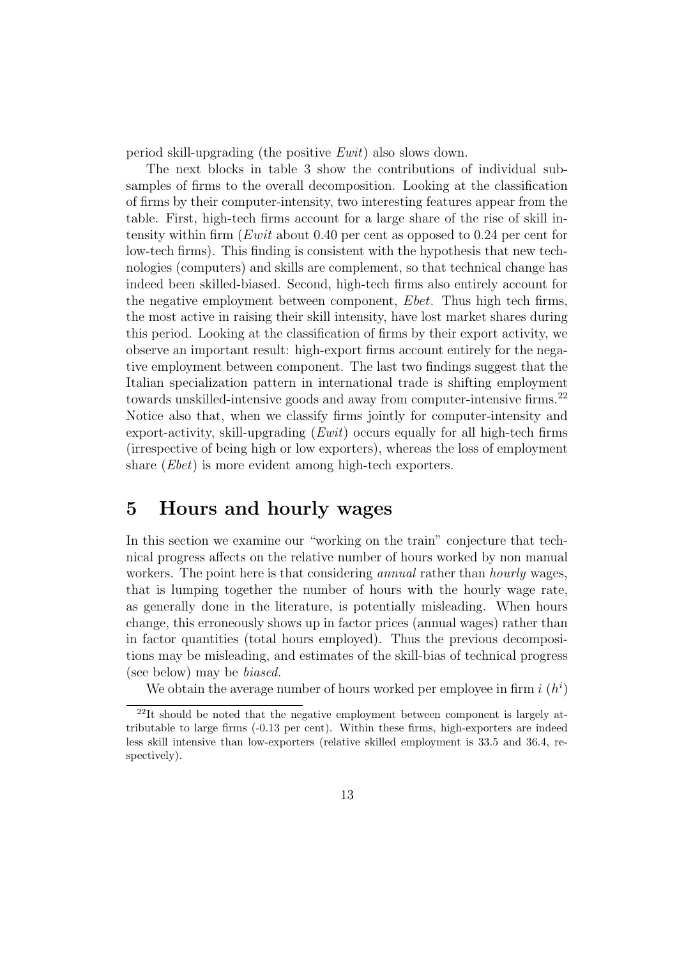period skill-upgrading (the positive Ewit) also slows down.

The next blocks in table 3 show the contributions of individual subsamples of firms to the overall decomposition. Looking at the classification of firms by their computer-intensity, two interesting features appear from the table. First, high-tech firms account for a large share of the rise of skill intensity within firm  $(Ewit$  about 0.40 per cent as opposed to 0.24 per cent for low-tech firms). This finding is consistent with the hypothesis that new technologies (computers) and skills are complement, so that technical change has indeed been skilled-biased. Second, high-tech firms also entirely account for the negative employment between component, Ebet. Thus high tech firms, the most active in raising their skill intensity, have lost market shares during this period. Looking at the classification of firms by their export activity, we observe an important result: high-export firms account entirely for the negative employment between component. The last two findings suggest that the Italian specialization pattern in international trade is shifting employment towards unskilled-intensive goods and away from computer-intensive firms.<sup>22</sup> Notice also that, when we classify firms jointly for computer-intensity and export-activity, skill-upgrading  $(Ewit)$  occurs equally for all high-tech firms (irrespective of being high or low exporters), whereas the loss of employment share *(Ebet)* is more evident among high-tech exporters.

#### 5 Hours and hourly wages

In this section we examine our "working on the train" conjecture that technical progress affects on the relative number of hours worked by non manual workers. The point here is that considering *annual* rather than *hourly* wages, that is lumping together the number of hours with the hourly wage rate, as generally done in the literature, is potentially misleading. When hours change, this erroneously shows up in factor prices (annual wages) rather than in factor quantities (total hours employed). Thus the previous decompositions may be misleading, and estimates of the skill-bias of technical progress (see below) may be biased.

We obtain the average number of hours worked per employee in firm  $i(h^i)$ 

<sup>22</sup>It should be noted that the negative employment between component is largely attributable to large firms (-0.13 per cent). Within these firms, high-exporters are indeed less skill intensive than low-exporters (relative skilled employment is 33.5 and 36.4, respectively).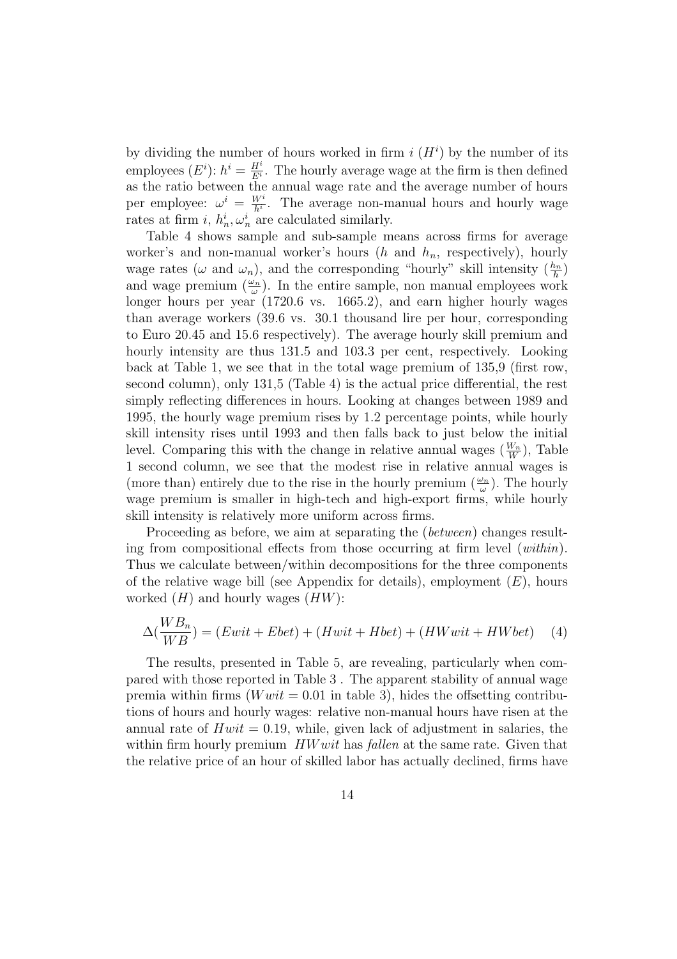by dividing the number of hours worked in firm  $i(H<sup>i</sup>)$  by the number of its employees  $(E^i)$ :  $h^i = \frac{H^i}{E^i}$  $\frac{H^*}{E^i}$ . The hourly average wage at the firm is then defined as the ratio between the annual wage rate and the average number of hours per employee:  $\omega^i = \frac{W^i}{h^i}$  $\frac{W^i}{h^i}$ . The average non-manual hours and hourly wage rates at firm i,  $h_n^i, \omega_n^i$  are calculated similarly.

Table 4 shows sample and sub-sample means across firms for average worker's and non-manual worker's hours  $(h$  and  $h_n$ , respectively), hourly wage rates ( $\omega$  and  $\omega_n$ ), and the corresponding "hourly" skill intensity  $(\frac{h_n}{h})$  $\frac{\iota_n}{h})$ and wage premium  $\left(\frac{\omega_n}{\omega_n}\right)$  $(\frac{\partial n}{\omega})$ . In the entire sample, non manual employees work longer hours per year (1720.6 vs. 1665.2), and earn higher hourly wages than average workers (39.6 vs. 30.1 thousand lire per hour, corresponding to Euro 20.45 and 15.6 respectively). The average hourly skill premium and hourly intensity are thus 131.5 and 103.3 per cent, respectively. Looking back at Table 1, we see that in the total wage premium of 135,9 (first row, second column), only 131,5 (Table 4) is the actual price differential, the rest simply reflecting differences in hours. Looking at changes between 1989 and 1995, the hourly wage premium rises by 1.2 percentage points, while hourly skill intensity rises until 1993 and then falls back to just below the initial level. Comparing this with the change in relative annual wages  $(\frac{W_n}{W})$  $\frac{N_n}{W}$ ), Table 1 second column, we see that the modest rise in relative annual wages is (more than) entirely due to the rise in the hourly premium  $\left(\frac{\omega_n}{\omega_n}\right)$  $\frac{\omega_n}{\omega}$ ). The hourly wage premium is smaller in high-tech and high-export firms, while hourly skill intensity is relatively more uniform across firms.

Proceeding as before, we aim at separating the (between) changes resulting from compositional effects from those occurring at firm level (within). Thus we calculate between/within decompositions for the three components of the relative wage bill (see Appendix for details), employment  $(E)$ , hours worked  $(H)$  and hourly wages  $(HW)$ :

$$
\Delta(\frac{WB_n}{WB}) = (Ewit + Ebet) + (Hwit + Hbet) + (HWwit + HWbet)
$$
 (4)

The results, presented in Table 5, are revealing, particularly when compared with those reported in Table 3 . The apparent stability of annual wage premia within firms  $(Wwit = 0.01$  in table 3), hides the offsetting contributions of hours and hourly wages: relative non-manual hours have risen at the annual rate of  $Hwit = 0.19$ , while, given lack of adjustment in salaries, the within firm hourly premium  $HWwit$  has fallen at the same rate. Given that the relative price of an hour of skilled labor has actually declined, firms have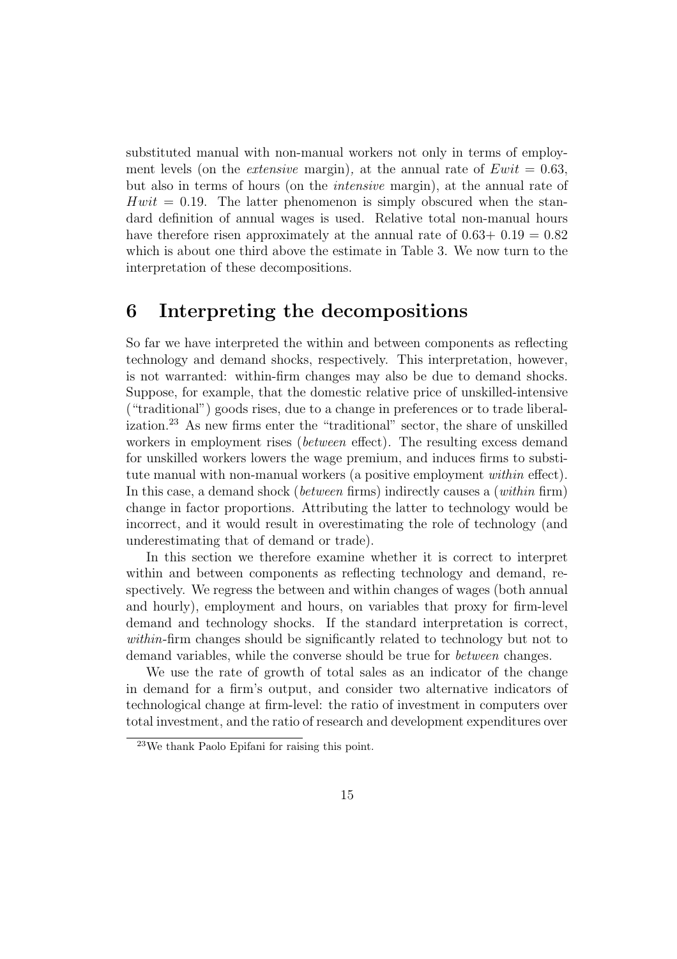substituted manual with non-manual workers not only in terms of employment levels (on the *extensive* margin), at the annual rate of  $Ewit = 0.63$ . but also in terms of hours (on the intensive margin), at the annual rate of  $Hwit = 0.19$ . The latter phenomenon is simply obscured when the standard definition of annual wages is used. Relative total non-manual hours have therefore risen approximately at the annual rate of  $0.63+0.19=0.82$ which is about one third above the estimate in Table 3. We now turn to the interpretation of these decompositions.

#### 6 Interpreting the decompositions

So far we have interpreted the within and between components as reflecting technology and demand shocks, respectively. This interpretation, however, is not warranted: within-firm changes may also be due to demand shocks. Suppose, for example, that the domestic relative price of unskilled-intensive ("traditional") goods rises, due to a change in preferences or to trade liberalization.<sup>23</sup> As new firms enter the "traditional" sector, the share of unskilled workers in employment rises (between effect). The resulting excess demand for unskilled workers lowers the wage premium, and induces firms to substitute manual with non-manual workers (a positive employment within effect). In this case, a demand shock (between firms) indirectly causes a (within firm) change in factor proportions. Attributing the latter to technology would be incorrect, and it would result in overestimating the role of technology (and underestimating that of demand or trade).

In this section we therefore examine whether it is correct to interpret within and between components as reflecting technology and demand, respectively. We regress the between and within changes of wages (both annual and hourly), employment and hours, on variables that proxy for firm-level demand and technology shocks. If the standard interpretation is correct, within-firm changes should be significantly related to technology but not to demand variables, while the converse should be true for between changes.

We use the rate of growth of total sales as an indicator of the change in demand for a firm's output, and consider two alternative indicators of technological change at firm-level: the ratio of investment in computers over total investment, and the ratio of research and development expenditures over

<sup>23</sup>We thank Paolo Epifani for raising this point.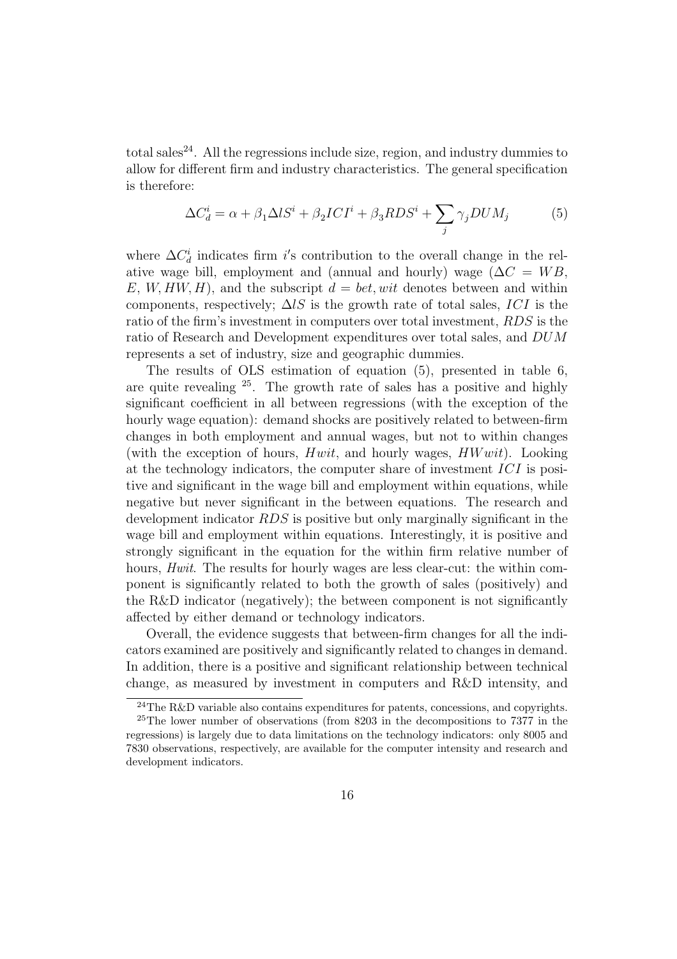total sales<sup>24</sup>. All the regressions include size, region, and industry dummies to allow for different firm and industry characteristics. The general specification is therefore:

$$
\Delta C_d^i = \alpha + \beta_1 \Delta l S^i + \beta_2 I C I^i + \beta_3 R D S^i + \sum_j \gamma_j D U M_j \tag{5}
$$

where  $\Delta C_d^i$  indicates firm i's contribution to the overall change in the relative wage bill, employment and (annual and hourly) wage ( $\Delta C = WB$ , E,  $W, HW, H$ , and the subscript  $d = bet, wit$  denotes between and within components, respectively;  $\Delta lS$  is the growth rate of total sales, ICI is the ratio of the firm's investment in computers over total investment, RDS is the ratio of Research and Development expenditures over total sales, and DUM represents a set of industry, size and geographic dummies.

The results of OLS estimation of equation (5), presented in table 6, are quite revealing <sup>25</sup> . The growth rate of sales has a positive and highly significant coefficient in all between regressions (with the exception of the hourly wage equation): demand shocks are positively related to between-firm changes in both employment and annual wages, but not to within changes (with the exception of hours,  $Hwit$ , and hourly wages,  $HWwit$ ). Looking at the technology indicators, the computer share of investment  $\overline{ICI}$  is positive and significant in the wage bill and employment within equations, while negative but never significant in the between equations. The research and development indicator RDS is positive but only marginally significant in the wage bill and employment within equations. Interestingly, it is positive and strongly significant in the equation for the within firm relative number of hours, *Hwit*. The results for hourly wages are less clear-cut: the within component is significantly related to both the growth of sales (positively) and the R&D indicator (negatively); the between component is not significantly affected by either demand or technology indicators.

Overall, the evidence suggests that between-firm changes for all the indicators examined are positively and significantly related to changes in demand. In addition, there is a positive and significant relationship between technical change, as measured by investment in computers and R&D intensity, and

<sup>&</sup>lt;sup>24</sup>The R&D variable also contains expenditures for patents, concessions, and copyrights. <sup>25</sup>The lower number of observations (from 8203 in the decompositions to 7377 in the regressions) is largely due to data limitations on the technology indicators: only 8005 and 7830 observations, respectively, are available for the computer intensity and research and development indicators.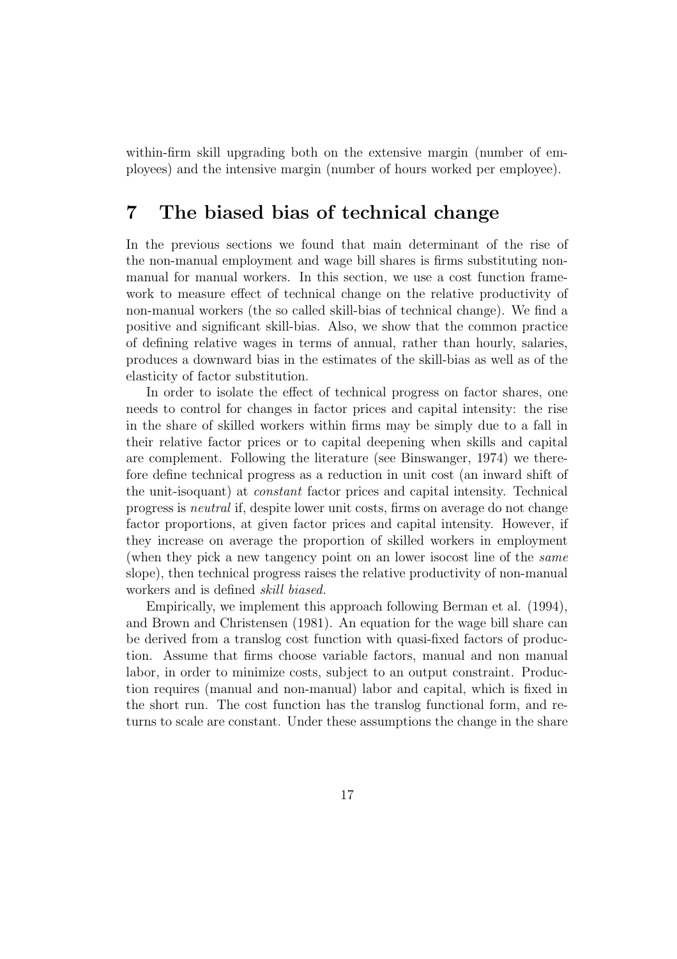within-firm skill upgrading both on the extensive margin (number of employees) and the intensive margin (number of hours worked per employee).

#### 7 The biased bias of technical change

In the previous sections we found that main determinant of the rise of the non-manual employment and wage bill shares is firms substituting nonmanual for manual workers. In this section, we use a cost function framework to measure effect of technical change on the relative productivity of non-manual workers (the so called skill-bias of technical change). We find a positive and significant skill-bias. Also, we show that the common practice of defining relative wages in terms of annual, rather than hourly, salaries, produces a downward bias in the estimates of the skill-bias as well as of the elasticity of factor substitution.

In order to isolate the effect of technical progress on factor shares, one needs to control for changes in factor prices and capital intensity: the rise in the share of skilled workers within firms may be simply due to a fall in their relative factor prices or to capital deepening when skills and capital are complement. Following the literature (see Binswanger, 1974) we therefore define technical progress as a reduction in unit cost (an inward shift of the unit-isoquant) at constant factor prices and capital intensity. Technical progress is neutral if, despite lower unit costs, firms on average do not change factor proportions, at given factor prices and capital intensity. However, if they increase on average the proportion of skilled workers in employment (when they pick a new tangency point on an lower isocost line of the same slope), then technical progress raises the relative productivity of non-manual workers and is defined skill biased.

Empirically, we implement this approach following Berman et al. (1994), and Brown and Christensen (1981). An equation for the wage bill share can be derived from a translog cost function with quasi-fixed factors of production. Assume that firms choose variable factors, manual and non manual labor, in order to minimize costs, subject to an output constraint. Production requires (manual and non-manual) labor and capital, which is fixed in the short run. The cost function has the translog functional form, and returns to scale are constant. Under these assumptions the change in the share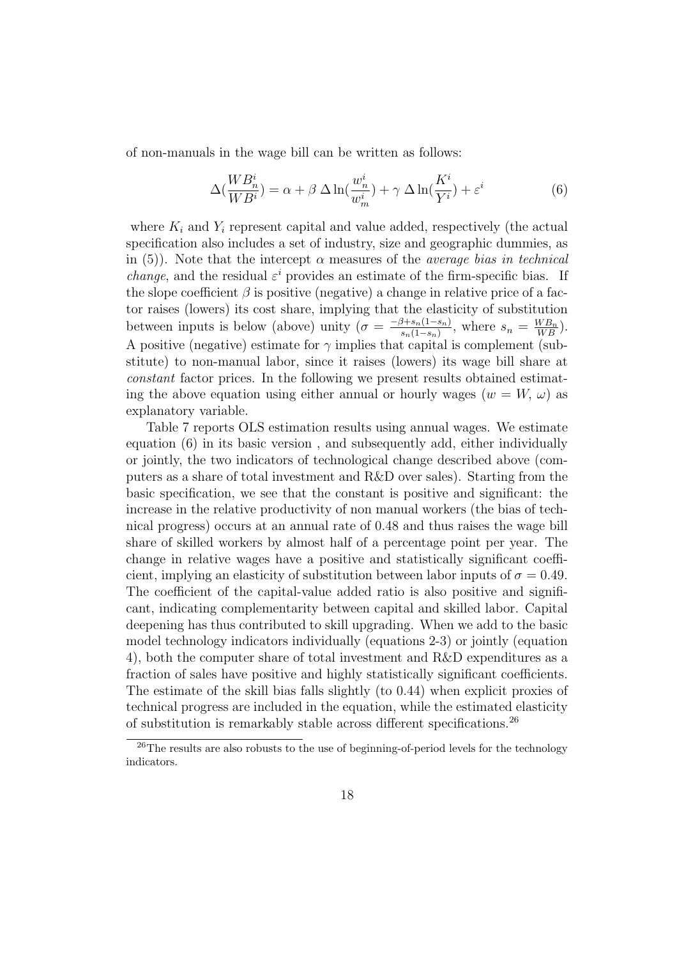of non-manuals in the wage bill can be written as follows:

$$
\Delta(\frac{WB_{n}^{i}}{WB^{i}}) = \alpha + \beta \Delta \ln(\frac{w_{n}^{i}}{w_{m}^{i}}) + \gamma \Delta \ln(\frac{K^{i}}{Y^{i}}) + \varepsilon^{i}
$$
(6)

where  $K_i$  and  $Y_i$  represent capital and value added, respectively (the actual specification also includes a set of industry, size and geographic dummies, as in (5)). Note that the intercept  $\alpha$  measures of the *average bias in technical change*, and the residual  $\varepsilon^i$  provides an estimate of the firm-specific bias. If the slope coefficient  $\beta$  is positive (negative) a change in relative price of a factor raises (lowers) its cost share, implying that the elasticity of substitution between inputs is below (above) unity  $\sigma = \frac{-\beta + s_n(1-s_n)}{s_n(1-s_n)}$  $\frac{\beta + s_n(1-s_n)}{s_n(1-s_n)}$ , where  $s_n = \frac{WB_n}{WB_n}$  $\frac{N B_n}{WB}).$ A positive (negative) estimate for  $\gamma$  implies that capital is complement (substitute) to non-manual labor, since it raises (lowers) its wage bill share at constant factor prices. In the following we present results obtained estimating the above equation using either annual or hourly wages  $(w = W, \omega)$  as explanatory variable.

Table 7 reports OLS estimation results using annual wages. We estimate equation (6) in its basic version , and subsequently add, either individually or jointly, the two indicators of technological change described above (computers as a share of total investment and R&D over sales). Starting from the basic specification, we see that the constant is positive and significant: the increase in the relative productivity of non manual workers (the bias of technical progress) occurs at an annual rate of 0.48 and thus raises the wage bill share of skilled workers by almost half of a percentage point per year. The change in relative wages have a positive and statistically significant coefficient, implying an elasticity of substitution between labor inputs of  $\sigma = 0.49$ . The coefficient of the capital-value added ratio is also positive and significant, indicating complementarity between capital and skilled labor. Capital deepening has thus contributed to skill upgrading. When we add to the basic model technology indicators individually (equations 2-3) or jointly (equation 4), both the computer share of total investment and R&D expenditures as a fraction of sales have positive and highly statistically significant coefficients. The estimate of the skill bias falls slightly (to 0.44) when explicit proxies of technical progress are included in the equation, while the estimated elasticity of substitution is remarkably stable across different specifications.<sup>26</sup>

 $^{26}$ The results are also robusts to the use of beginning-of-period levels for the technology indicators.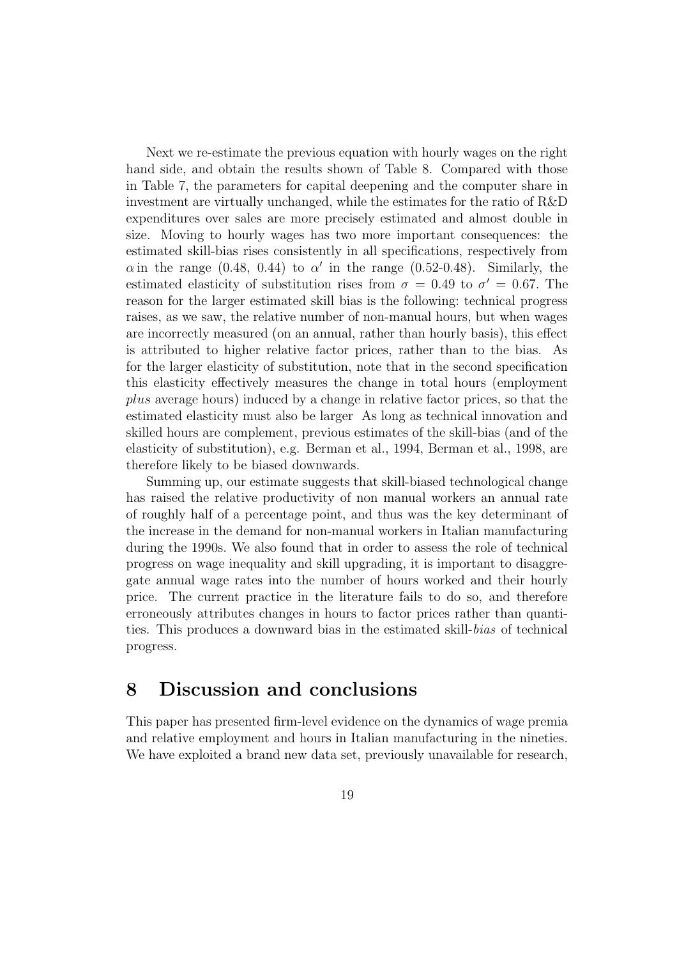Next we re-estimate the previous equation with hourly wages on the right hand side, and obtain the results shown of Table 8. Compared with those in Table 7, the parameters for capital deepening and the computer share in investment are virtually unchanged, while the estimates for the ratio of R&D expenditures over sales are more precisely estimated and almost double in size. Moving to hourly wages has two more important consequences: the estimated skill-bias rises consistently in all specifications, respectively from  $\alpha$  in the range (0.48, 0.44) to  $\alpha'$  in the range (0.52-0.48). Similarly, the estimated elasticity of substitution rises from  $\sigma = 0.49$  to  $\sigma' = 0.67$ . The reason for the larger estimated skill bias is the following: technical progress raises, as we saw, the relative number of non-manual hours, but when wages are incorrectly measured (on an annual, rather than hourly basis), this effect is attributed to higher relative factor prices, rather than to the bias. As for the larger elasticity of substitution, note that in the second specification this elasticity effectively measures the change in total hours (employment plus average hours) induced by a change in relative factor prices, so that the estimated elasticity must also be larger As long as technical innovation and skilled hours are complement, previous estimates of the skill-bias (and of the elasticity of substitution), e.g. Berman et al., 1994, Berman et al., 1998, are therefore likely to be biased downwards.

Summing up, our estimate suggests that skill-biased technological change has raised the relative productivity of non manual workers an annual rate of roughly half of a percentage point, and thus was the key determinant of the increase in the demand for non-manual workers in Italian manufacturing during the 1990s. We also found that in order to assess the role of technical progress on wage inequality and skill upgrading, it is important to disaggregate annual wage rates into the number of hours worked and their hourly price. The current practice in the literature fails to do so, and therefore erroneously attributes changes in hours to factor prices rather than quantities. This produces a downward bias in the estimated skill-bias of technical progress.

#### 8 Discussion and conclusions

This paper has presented firm-level evidence on the dynamics of wage premia and relative employment and hours in Italian manufacturing in the nineties. We have exploited a brand new data set, previously unavailable for research,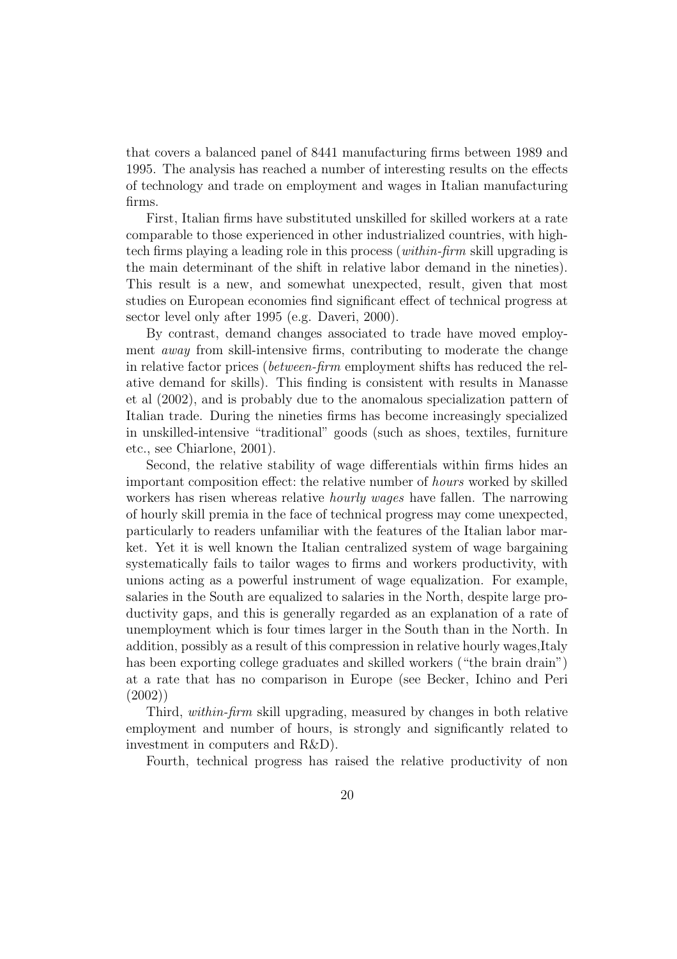that covers a balanced panel of 8441 manufacturing firms between 1989 and 1995. The analysis has reached a number of interesting results on the effects of technology and trade on employment and wages in Italian manufacturing firms.

First, Italian firms have substituted unskilled for skilled workers at a rate comparable to those experienced in other industrialized countries, with hightech firms playing a leading role in this process (within-firm skill upgrading is the main determinant of the shift in relative labor demand in the nineties). This result is a new, and somewhat unexpected, result, given that most studies on European economies find significant effect of technical progress at sector level only after 1995 (e.g. Daveri, 2000).

By contrast, demand changes associated to trade have moved employment away from skill-intensive firms, contributing to moderate the change in relative factor prices (between-firm employment shifts has reduced the relative demand for skills). This finding is consistent with results in Manasse et al (2002), and is probably due to the anomalous specialization pattern of Italian trade. During the nineties firms has become increasingly specialized in unskilled-intensive "traditional" goods (such as shoes, textiles, furniture etc., see Chiarlone, 2001).

Second, the relative stability of wage differentials within firms hides an important composition effect: the relative number of hours worked by skilled workers has risen whereas relative *hourly wages* have fallen. The narrowing of hourly skill premia in the face of technical progress may come unexpected, particularly to readers unfamiliar with the features of the Italian labor market. Yet it is well known the Italian centralized system of wage bargaining systematically fails to tailor wages to firms and workers productivity, with unions acting as a powerful instrument of wage equalization. For example, salaries in the South are equalized to salaries in the North, despite large productivity gaps, and this is generally regarded as an explanation of a rate of unemployment which is four times larger in the South than in the North. In addition, possibly as a result of this compression in relative hourly wages,Italy has been exporting college graduates and skilled workers ("the brain drain") at a rate that has no comparison in Europe (see Becker, Ichino and Peri (2002))

Third, within-firm skill upgrading, measured by changes in both relative employment and number of hours, is strongly and significantly related to investment in computers and R&D).

Fourth, technical progress has raised the relative productivity of non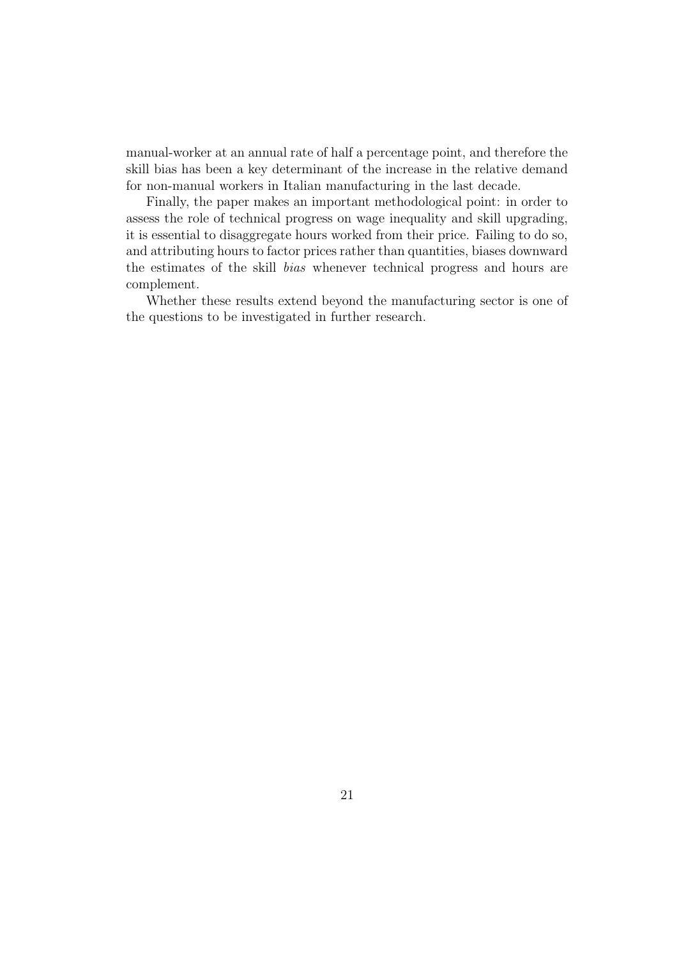manual-worker at an annual rate of half a percentage point, and therefore the skill bias has been a key determinant of the increase in the relative demand for non-manual workers in Italian manufacturing in the last decade.

Finally, the paper makes an important methodological point: in order to assess the role of technical progress on wage inequality and skill upgrading, it is essential to disaggregate hours worked from their price. Failing to do so, and attributing hours to factor prices rather than quantities, biases downward the estimates of the skill bias whenever technical progress and hours are complement.

Whether these results extend beyond the manufacturing sector is one of the questions to be investigated in further research.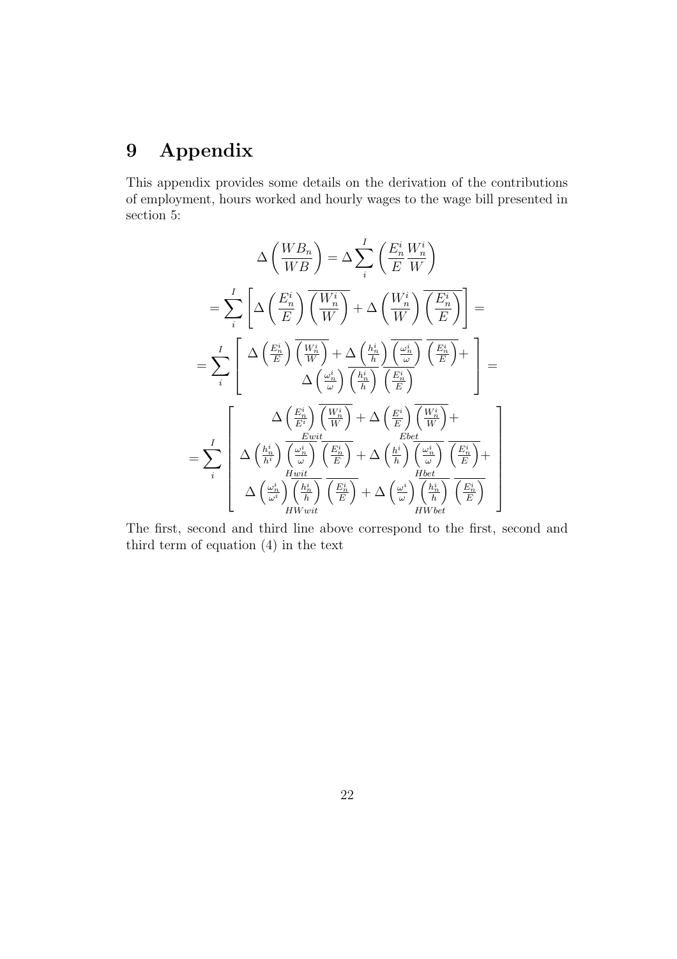## 9 Appendix

This appendix provides some details on the derivation of the contributions of employment, hours worked and hourly wages to the wage bill presented in section 5:

$$
\Delta\left(\frac{WB_n}{WB}\right) = \Delta\sum_{i}^{I} \left(\frac{E_n^i}{E} \frac{W_n^i}{W}\right)
$$

$$
= \sum_{i}^{I} \left[\Delta\left(\frac{E_n^i}{E}\right) \overline{\left(\frac{W_n^i}{W}\right)} + \Delta\left(\frac{W_n^i}{W}\right) \overline{\left(\frac{E_n^i}{E}\right)}\right] =
$$

$$
= \sum_{i}^{I} \left[\Delta\left(\frac{E_n^i}{E}\right) \overline{\left(\frac{W_n^i}{W}\right)} + \Delta\left(\frac{h_n^i}{h}\right) \overline{\left(\frac{\omega_n^i}{\omega}\right)} \overline{\left(\frac{E_n^i}{E}\right)} + \right]
$$

$$
= \sum_{i}^{I} \left[\Delta\left(\frac{E_n^i}{E}\right) \overline{\left(\frac{W_n^i}{W}\right)} + \Delta\left(\frac{E_n^i}{E}\right) \overline{\left(\frac{W_n^i}{E}\right)}\right] =
$$

$$
= \sum_{i}^{I} \left[\Delta\left(\frac{h_n^i}{E^i}\right) \overline{\left(\frac{\omega_n^i}{W}\right)} + \Delta\left(\frac{E}{E}\right) \overline{\left(\frac{W_n^i}{W}\right)} + \Delta\left(\frac{E}{E}\right) \overline{\left(\frac{W_n^i}{W}\right)} + \Delta\left(\frac{W_n^i}{E}\right) \overline{\left(\frac{E_n^i}{E}\right)} + \Delta\left(\frac{W_n^i}{E}\right) \overline{\left(\frac{E_n^i}{E}\right)} + \Delta\left(\frac{W_n^i}{W}\right) \overline{\left(\frac{E_n^i}{E}\right)} + \Delta\left(\frac{W_n^i}{W}\right) \overline{\left(\frac{E_n^i}{E}\right)} + \Delta\left(\frac{W_n^i}{W}\right) \overline{\left(\frac{E_n^i}{E}\right)} + \Delta\left(\frac{W_n^i}{W}\right) \overline{\left(\frac{E_n^i}{E}\right)}\right]
$$

The first, second and third line above correspond to the first, second and third term of equation (4) in the text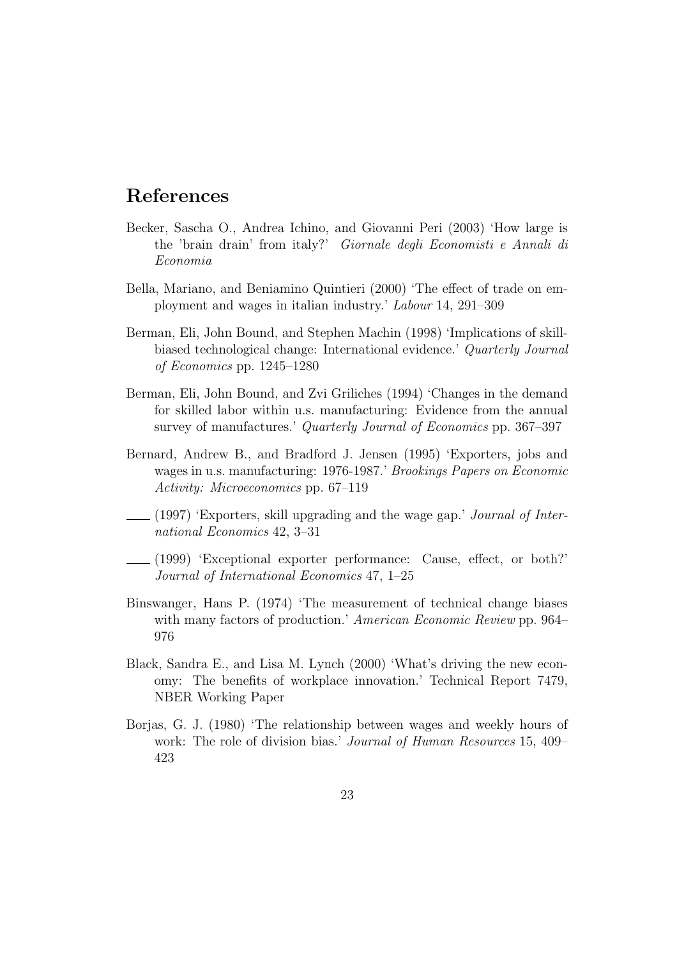### References

- Becker, Sascha O., Andrea Ichino, and Giovanni Peri (2003) 'How large is the 'brain drain' from italy?' Giornale degli Economisti e Annali di Economia
- Bella, Mariano, and Beniamino Quintieri (2000) 'The effect of trade on employment and wages in italian industry.' Labour 14, 291–309
- Berman, Eli, John Bound, and Stephen Machin (1998) 'Implications of skillbiased technological change: International evidence.' Quarterly Journal of Economics pp. 1245–1280
- Berman, Eli, John Bound, and Zvi Griliches (1994) 'Changes in the demand for skilled labor within u.s. manufacturing: Evidence from the annual survey of manufactures.' Quarterly Journal of Economics pp. 367–397
- Bernard, Andrew B., and Bradford J. Jensen (1995) 'Exporters, jobs and wages in u.s. manufacturing: 1976-1987.' Brookings Papers on Economic Activity: Microeconomics pp. 67–119
- (1997) 'Exporters, skill upgrading and the wage gap.' Journal of International Economics 42, 3–31
- (1999) 'Exceptional exporter performance: Cause, effect, or both?' Journal of International Economics 47, 1–25
- Binswanger, Hans P. (1974) 'The measurement of technical change biases with many factors of production.' American Economic Review pp. 964– 976
- Black, Sandra E., and Lisa M. Lynch (2000) 'What's driving the new economy: The benefits of workplace innovation.' Technical Report 7479, NBER Working Paper
- Borjas, G. J. (1980) 'The relationship between wages and weekly hours of work: The role of division bias.' Journal of Human Resources 15, 409– 423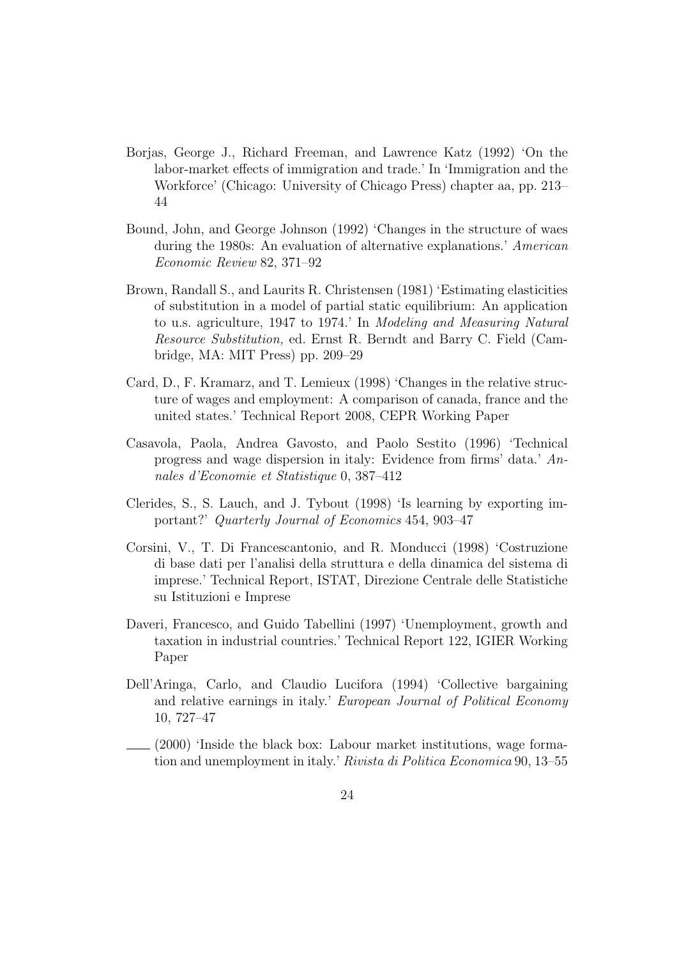- Borjas, George J., Richard Freeman, and Lawrence Katz (1992) 'On the labor-market effects of immigration and trade.' In 'Immigration and the Workforce' (Chicago: University of Chicago Press) chapter aa, pp. 213– 44
- Bound, John, and George Johnson (1992) 'Changes in the structure of waes during the 1980s: An evaluation of alternative explanations.' American Economic Review 82, 371–92
- Brown, Randall S., and Laurits R. Christensen (1981) 'Estimating elasticities of substitution in a model of partial static equilibrium: An application to u.s. agriculture, 1947 to 1974.' In Modeling and Measuring Natural Resource Substitution, ed. Ernst R. Berndt and Barry C. Field (Cambridge, MA: MIT Press) pp. 209–29
- Card, D., F. Kramarz, and T. Lemieux (1998) 'Changes in the relative structure of wages and employment: A comparison of canada, france and the united states.' Technical Report 2008, CEPR Working Paper
- Casavola, Paola, Andrea Gavosto, and Paolo Sestito (1996) 'Technical progress and wage dispersion in italy: Evidence from firms' data.' Annales d'Economie et Statistique 0, 387–412
- Clerides, S., S. Lauch, and J. Tybout (1998) 'Is learning by exporting important?' Quarterly Journal of Economics 454, 903–47
- Corsini, V., T. Di Francescantonio, and R. Monducci (1998) 'Costruzione di base dati per l'analisi della struttura e della dinamica del sistema di imprese.' Technical Report, ISTAT, Direzione Centrale delle Statistiche su Istituzioni e Imprese
- Daveri, Francesco, and Guido Tabellini (1997) 'Unemployment, growth and taxation in industrial countries.' Technical Report 122, IGIER Working Paper
- Dell'Aringa, Carlo, and Claudio Lucifora (1994) 'Collective bargaining and relative earnings in italy.' European Journal of Political Economy 10, 727–47
- (2000) 'Inside the black box: Labour market institutions, wage formation and unemployment in italy.' Rivista di Politica Economica 90, 13–55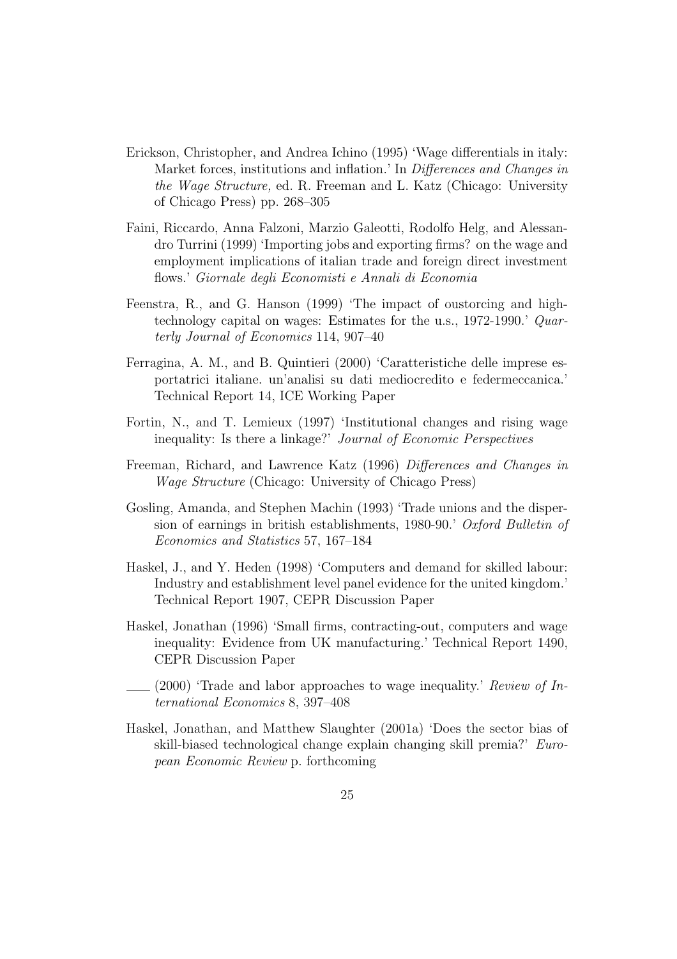- Erickson, Christopher, and Andrea Ichino (1995) 'Wage differentials in italy: Market forces, institutions and inflation.' In Differences and Changes in the Wage Structure, ed. R. Freeman and L. Katz (Chicago: University of Chicago Press) pp. 268–305
- Faini, Riccardo, Anna Falzoni, Marzio Galeotti, Rodolfo Helg, and Alessandro Turrini (1999) 'Importing jobs and exporting firms? on the wage and employment implications of italian trade and foreign direct investment flows.' Giornale degli Economisti e Annali di Economia
- Feenstra, R., and G. Hanson (1999) 'The impact of oustorcing and hightechnology capital on wages: Estimates for the u.s., 1972-1990.' Quarterly Journal of Economics 114, 907–40
- Ferragina, A. M., and B. Quintieri (2000) 'Caratteristiche delle imprese esportatrici italiane. un'analisi su dati mediocredito e federmeccanica.' Technical Report 14, ICE Working Paper
- Fortin, N., and T. Lemieux (1997) 'Institutional changes and rising wage inequality: Is there a linkage?' Journal of Economic Perspectives
- Freeman, Richard, and Lawrence Katz (1996) Differences and Changes in Wage Structure (Chicago: University of Chicago Press)
- Gosling, Amanda, and Stephen Machin (1993) 'Trade unions and the dispersion of earnings in british establishments, 1980-90.' Oxford Bulletin of Economics and Statistics 57, 167–184
- Haskel, J., and Y. Heden (1998) 'Computers and demand for skilled labour: Industry and establishment level panel evidence for the united kingdom.' Technical Report 1907, CEPR Discussion Paper
- Haskel, Jonathan (1996) 'Small firms, contracting-out, computers and wage inequality: Evidence from UK manufacturing.' Technical Report 1490, CEPR Discussion Paper
- $(2000)$  Trade and labor approaches to wage inequality. Review of International Economics 8, 397–408
- Haskel, Jonathan, and Matthew Slaughter (2001a) 'Does the sector bias of skill-biased technological change explain changing skill premia?' European Economic Review p. forthcoming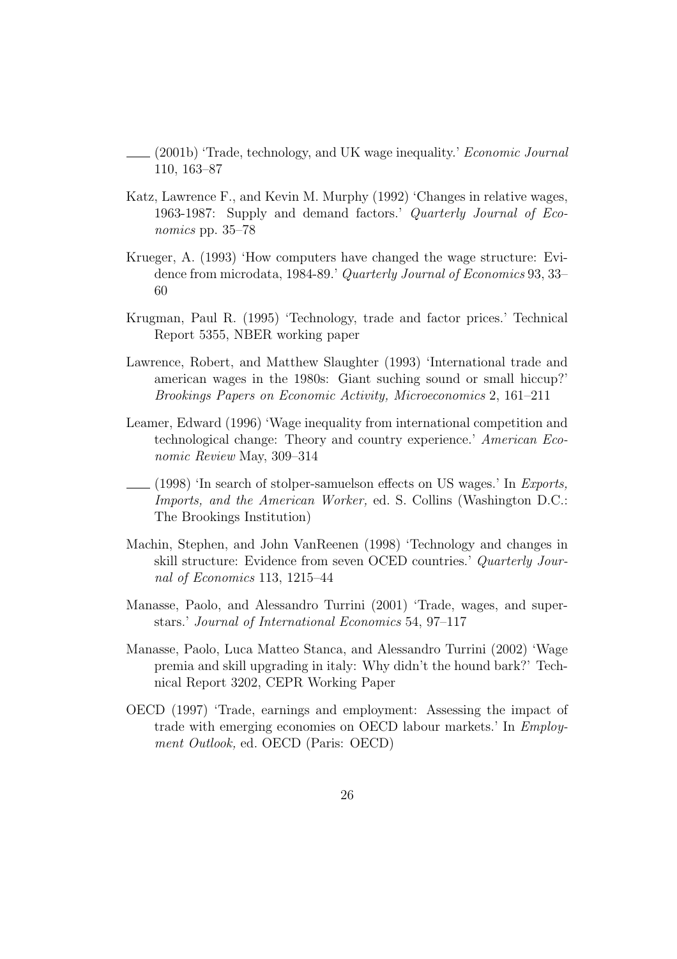- (2001b) 'Trade, technology, and UK wage inequality.' Economic Journal 110, 163–87
- Katz, Lawrence F., and Kevin M. Murphy (1992) 'Changes in relative wages, 1963-1987: Supply and demand factors.' Quarterly Journal of Economics pp. 35–78
- Krueger, A. (1993) 'How computers have changed the wage structure: Evidence from microdata, 1984-89.' Quarterly Journal of Economics 93, 33– 60
- Krugman, Paul R. (1995) 'Technology, trade and factor prices.' Technical Report 5355, NBER working paper
- Lawrence, Robert, and Matthew Slaughter (1993) 'International trade and american wages in the 1980s: Giant suching sound or small hiccup?' Brookings Papers on Economic Activity, Microeconomics 2, 161–211
- Leamer, Edward (1996) 'Wage inequality from international competition and technological change: Theory and country experience.' American Economic Review May, 309–314
- $(1998)$  'In search of stolper-samuelson effects on US wages.' In Exports, Imports, and the American Worker, ed. S. Collins (Washington D.C.: The Brookings Institution)
- Machin, Stephen, and John VanReenen (1998) 'Technology and changes in skill structure: Evidence from seven OCED countries.' Quarterly Journal of Economics 113, 1215–44
- Manasse, Paolo, and Alessandro Turrini (2001) 'Trade, wages, and superstars.' Journal of International Economics 54, 97–117
- Manasse, Paolo, Luca Matteo Stanca, and Alessandro Turrini (2002) 'Wage premia and skill upgrading in italy: Why didn't the hound bark?' Technical Report 3202, CEPR Working Paper
- OECD (1997) 'Trade, earnings and employment: Assessing the impact of trade with emerging economies on OECD labour markets.' In Employment Outlook, ed. OECD (Paris: OECD)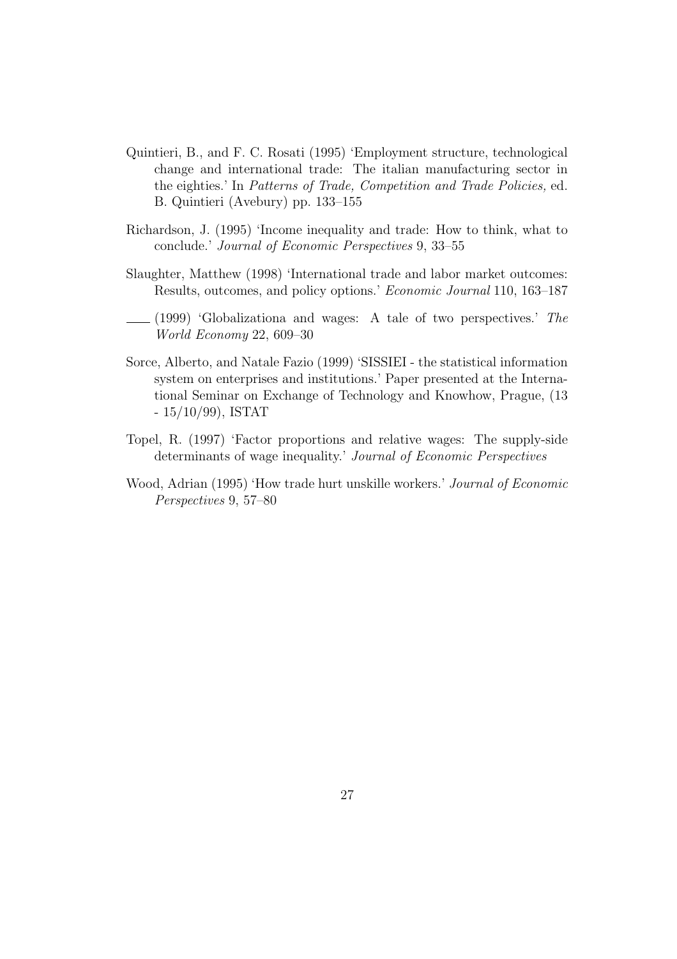- Quintieri, B., and F. C. Rosati (1995) 'Employment structure, technological change and international trade: The italian manufacturing sector in the eighties.' In Patterns of Trade, Competition and Trade Policies, ed. B. Quintieri (Avebury) pp. 133–155
- Richardson, J. (1995) 'Income inequality and trade: How to think, what to conclude.' Journal of Economic Perspectives 9, 33–55
- Slaughter, Matthew (1998) 'International trade and labor market outcomes: Results, outcomes, and policy options.' Economic Journal 110, 163–187
- $(1999)$  'Globalizationa and wages: A tale of two perspectives.' The World Economy 22, 609–30
- Sorce, Alberto, and Natale Fazio (1999) 'SISSIEI the statistical information system on enterprises and institutions.' Paper presented at the International Seminar on Exchange of Technology and Knowhow, Prague, (13 - 15/10/99), ISTAT
- Topel, R. (1997) 'Factor proportions and relative wages: The supply-side determinants of wage inequality.' Journal of Economic Perspectives
- Wood, Adrian (1995) 'How trade hurt unskille workers.' Journal of Economic Perspectives 9, 57–80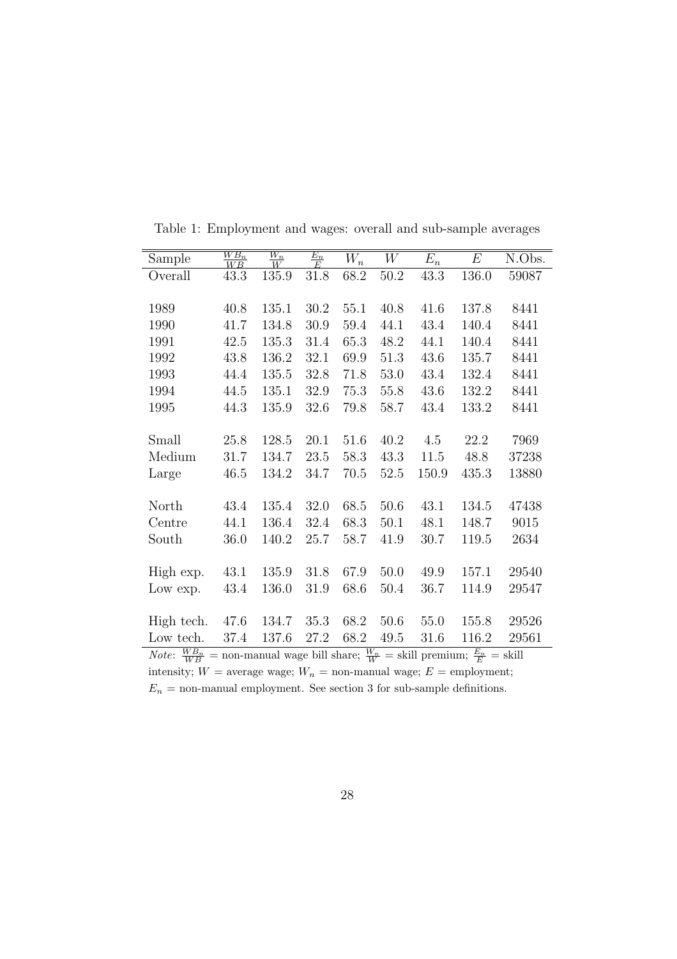| Sample                                                                                                                 | $\frac{WB_n}{WB}$ | $\frac{W_n}{W}$ | $\frac{E_n}{E}$ | $W_n$    | W        | $E_n$ | $E\,$ | N.Obs. |
|------------------------------------------------------------------------------------------------------------------------|-------------------|-----------------|-----------------|----------|----------|-------|-------|--------|
| Overall                                                                                                                | 43.3              | 135.9           | $31.8\,$        | 68.2     | 50.2     | 43.3  | 136.0 | 59087  |
|                                                                                                                        |                   |                 |                 |          |          |       |       |        |
| 1989                                                                                                                   | 40.8              | 135.1           | 30.2            | 55.1     | 40.8     | 41.6  | 137.8 | 8441   |
| 1990                                                                                                                   | 41.7              | 134.8           | 30.9            | 59.4     | 44.1     | 43.4  | 140.4 | 8441   |
| 1991                                                                                                                   | 42.5              | 135.3           | 31.4            | 65.3     | 48.2     | 44.1  | 140.4 | 8441   |
| 1992                                                                                                                   | 43.8              | 136.2           | 32.1            | 69.9     | 51.3     | 43.6  | 135.7 | 8441   |
| 1993                                                                                                                   | 44.4              | 135.5           | 32.8            | $71.8\,$ | 53.0     | 43.4  | 132.4 | 8441   |
| 1994                                                                                                                   | 44.5              | 135.1           | 32.9            | 75.3     | 55.8     | 43.6  | 132.2 | 8441   |
| 1995                                                                                                                   | 44.3              | 135.9           | 32.6            | 79.8     | 58.7     | 43.4  | 133.2 | 8441   |
|                                                                                                                        |                   |                 |                 |          |          |       |       |        |
| Small                                                                                                                  | 25.8              | 128.5           | 20.1            | 51.6     | 40.2     | 4.5   | 22.2  | 7969   |
| Medium                                                                                                                 | 31.7              | 134.7           | 23.5            | 58.3     | 43.3     | 11.5  | 48.8  | 37238  |
| Large                                                                                                                  | 46.5              | 134.2           | 34.7            | $70.5\,$ | 52.5     | 150.9 | 435.3 | 13880  |
|                                                                                                                        |                   |                 |                 |          |          |       |       |        |
| North                                                                                                                  | 43.4              | 135.4           | 32.0            | 68.5     | 50.6     | 43.1  | 134.5 | 47438  |
| Centre                                                                                                                 | 44.1              | 136.4           | 32.4            | 68.3     | 50.1     | 48.1  | 148.7 | 9015   |
| South                                                                                                                  | 36.0              | 140.2           | 25.7            | 58.7     | 41.9     | 30.7  | 119.5 | 2634   |
|                                                                                                                        |                   |                 |                 |          |          |       |       |        |
| High exp.                                                                                                              | 43.1              | 135.9           | $31.8\,$        | 67.9     | $50.0\,$ | 49.9  | 157.1 | 29540  |
| Low exp.                                                                                                               | 43.4              | 136.0           | 31.9            | 68.6     | 50.4     | 36.7  | 114.9 | 29547  |
|                                                                                                                        |                   |                 |                 |          |          |       |       |        |
| High tech.                                                                                                             | 47.6              | 134.7           | $35.3\,$        | 68.2     | 50.6     | 55.0  | 155.8 | 29526  |
| Low tech.                                                                                                              | 37.4              | 137.6           | 27.2            | 68.2     | 49.5     | 31.6  | 116.2 | 29561  |
| <i>Note</i> : $\frac{WB_n}{WB}$ = non-manual wage bill share; $\frac{W_n}{W}$ = skill premium; $\frac{E_n}{E}$ = skill |                   |                 |                 |          |          |       |       |        |

Table 1: Employment and wages: overall and sub-sample averages

intensity;  $W =$  average wage;  $W_n =$  non-manual wage;  $E =$  employment;

 $\mathcal{E}_n$  = non-manual employment. See section 3 for sub-sample definitions.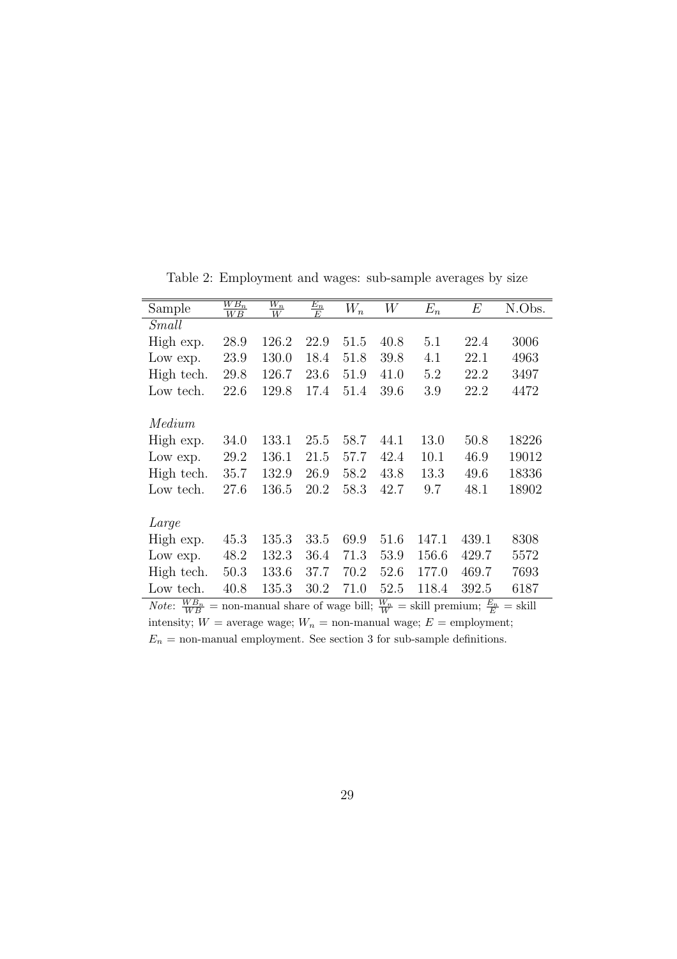| Sample                                                                                                                   | $\frac{WB_n}{WB}$ | $\frac{W_n}{W}$ | $\frac{E_n}{E}$ | $\overline{W_n}$ | W    | $E_n$ | $E\,$ | N.Obs. |
|--------------------------------------------------------------------------------------------------------------------------|-------------------|-----------------|-----------------|------------------|------|-------|-------|--------|
| Small                                                                                                                    |                   |                 |                 |                  |      |       |       |        |
| High exp.                                                                                                                | 28.9              | 126.2           | 22.9            | 51.5             | 40.8 | 5.1   | 22.4  | 3006   |
| Low exp.                                                                                                                 | 23.9              | 130.0           | 18.4            | 51.8             | 39.8 | 4.1   | 22.1  | 4963   |
| High tech.                                                                                                               | 29.8              | 126.7           | 23.6            | 51.9             | 41.0 | 5.2   | 22.2  | 3497   |
| Low tech.                                                                                                                | 22.6              | 129.8           | 17.4            | 51.4             | 39.6 | 3.9   | 22.2  | 4472   |
|                                                                                                                          |                   |                 |                 |                  |      |       |       |        |
| Medium                                                                                                                   |                   |                 |                 |                  |      |       |       |        |
| High exp.                                                                                                                | 34.0              | 133.1           | 25.5            | 58.7             | 44.1 | 13.0  | 50.8  | 18226  |
| Low exp.                                                                                                                 | 29.2              | 136.1           | 21.5            | 57.7             | 42.4 | 10.1  | 46.9  | 19012  |
| High tech.                                                                                                               | 35.7              | 132.9           | 26.9            | 58.2             | 43.8 | 13.3  | 49.6  | 18336  |
| Low tech.                                                                                                                | 27.6              | 136.5           | 20.2            | 58.3             | 42.7 | 9.7   | 48.1  | 18902  |
|                                                                                                                          |                   |                 |                 |                  |      |       |       |        |
| Large                                                                                                                    |                   |                 |                 |                  |      |       |       |        |
| High exp.                                                                                                                | 45.3              | 135.3           | 33.5            | 69.9             | 51.6 | 147.1 | 439.1 | 8308   |
| Low exp.                                                                                                                 | 48.2              | 132.3           | 36.4            | 71.3             | 53.9 | 156.6 | 429.7 | 5572   |
| High tech.                                                                                                               | 50.3              | 133.6           | 37.7            | 70.2             | 52.6 | 177.0 | 469.7 | 7693   |
| Low tech.                                                                                                                | 40.8              | 135.3           | 30.2            | 71.0             | 52.5 | 118.4 | 392.5 | 6187   |
| <i>Note:</i> $\frac{WB_n}{WB}$ = non-manual share of wage bill; $\frac{W_n}{W}$ = skill premium; $\frac{E_n}{E}$ = skill |                   |                 |                 |                  |      |       |       |        |

Table 2: Employment and wages: sub-sample averages by size

intensity;  $W =$  average wage;  $W_n =$  non-manual wage;  $E =$  employment;  $\mathcal{E}_n$  = non-manual employment. See section 3 for sub-sample definitions.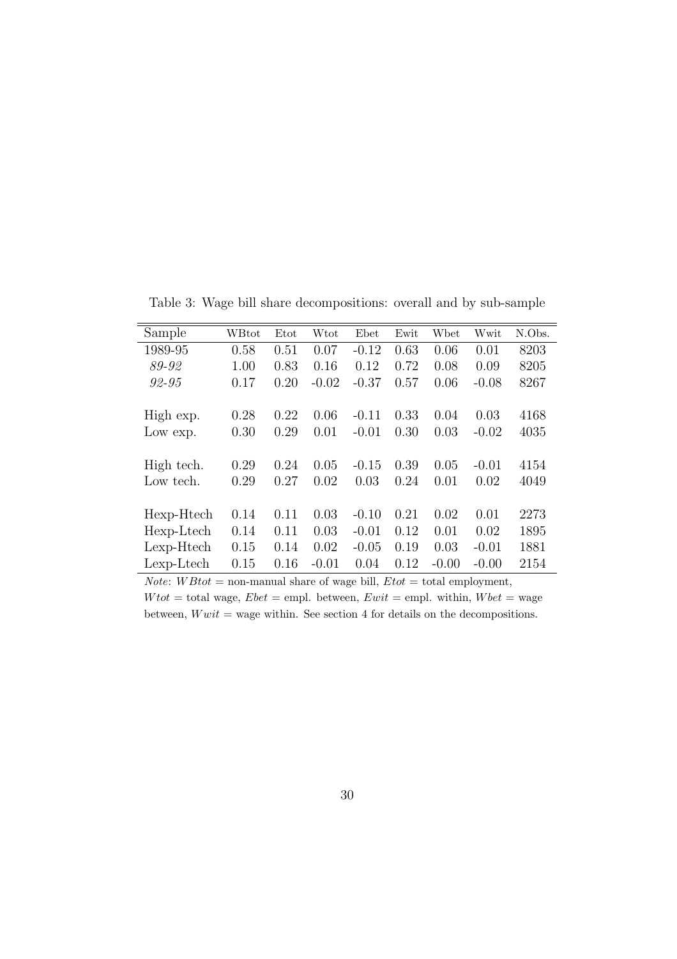| Sample     | WBtot | Etot | Wtot    | Ebet    | Ewit | Wbet    | Wwit    | N.Obs. |
|------------|-------|------|---------|---------|------|---------|---------|--------|
| 1989-95    | 0.58  | 0.51 | 0.07    | $-0.12$ | 0.63 | 0.06    | 0.01    | 8203   |
| 89-92      | 1.00  | 0.83 | 0.16    | 0.12    | 0.72 | 0.08    | 0.09    | 8205   |
| 92-95      | 0.17  | 0.20 | $-0.02$ | $-0.37$ | 0.57 | 0.06    | $-0.08$ | 8267   |
|            |       |      |         |         |      |         |         |        |
| High exp.  | 0.28  | 0.22 | 0.06    | $-0.11$ | 0.33 | 0.04    | 0.03    | 4168   |
| Low exp.   | 0.30  | 0.29 | 0.01    | $-0.01$ | 0.30 | 0.03    | $-0.02$ | 4035   |
|            |       |      |         |         |      |         |         |        |
| High tech. | 0.29  | 0.24 | 0.05    | $-0.15$ | 0.39 | 0.05    | $-0.01$ | 4154   |
| Low tech.  | 0.29  | 0.27 | 0.02    | 0.03    | 0.24 | 0.01    | 0.02    | 4049   |
|            |       |      |         |         |      |         |         |        |
| Hexp-Htech | 0.14  | 0.11 | 0.03    | $-0.10$ | 0.21 | 0.02    | 0.01    | 2273   |
| Hexp-Ltech | 0.14  | 0.11 | 0.03    | $-0.01$ | 0.12 | 0.01    | 0.02    | 1895   |
| Lexp-Htech | 0.15  | 0.14 | 0.02    | $-0.05$ | 0.19 | 0.03    | $-0.01$ | 1881   |
| Lexp-Ltech | 0.15  | 0.16 | $-0.01$ | 0.04    | 0.12 | $-0.00$ | $-0.00$ | 2154   |

Table 3: Wage bill share decompositions: overall and by sub-sample

*Note:*  $WB\text{tot} = \text{non-manual share of wage bill, E\text{tot} = \text{total employment},$ 

 $W tot = total$  wage,  $Ebet =$  empl. between,  $Ewit =$  empl. within,  $Wbet =$  wage between,  $Wwit$  = wage within. See section 4 for details on the decompositions.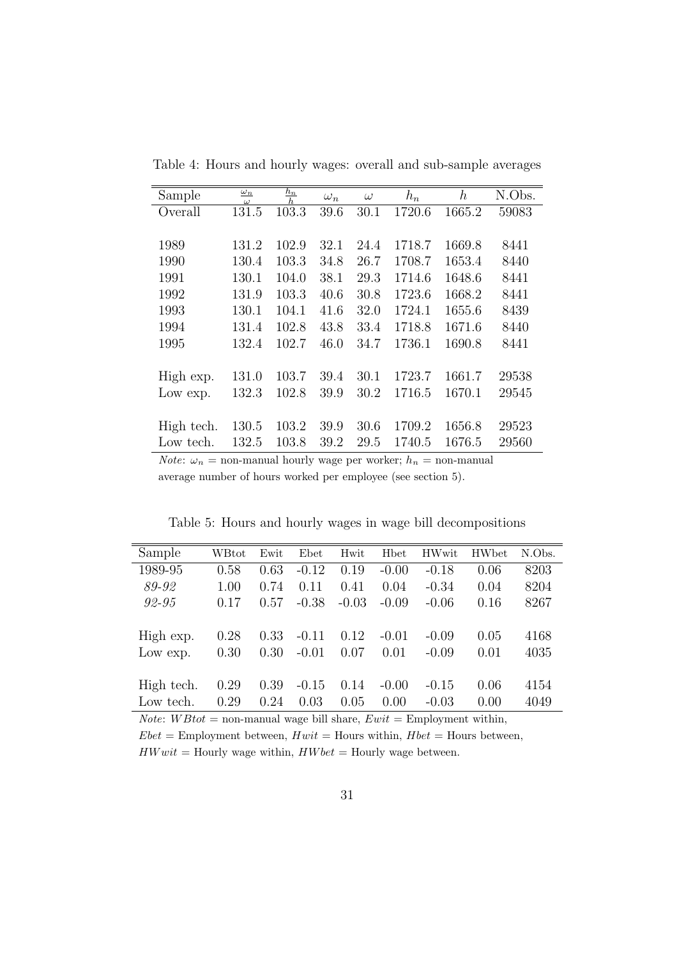| Sample     | $\omega_n$<br>$\omega$ | $\frac{h_n}{h_n}$ | $\omega_n$ | $\omega$ | $h_n$  | $\boldsymbol{h}$ | N.Obs. |
|------------|------------------------|-------------------|------------|----------|--------|------------------|--------|
| Overall    | 131.5                  | 103.3             | 39.6       | 30.1     | 1720.6 | 1665.2           | 59083  |
|            |                        |                   |            |          |        |                  |        |
| 1989       | 131.2                  | 102.9             | 32.1       | 24.4     | 1718.7 | 1669.8           | 8441   |
| 1990       | 130.4                  | 103.3             | 34.8       | 26.7     | 1708.7 | 1653.4           | 8440   |
| 1991       | 130.1                  | 104.0             | 38.1       | 29.3     | 1714.6 | 1648.6           | 8441   |
| 1992       | 131.9                  | 103.3             | 40.6       | 30.8     | 1723.6 | 1668.2           | 8441   |
| 1993       | 130.1                  | 104.1             | 41.6       | 32.0     | 1724.1 | 1655.6           | 8439   |
| 1994       | 131.4                  | 102.8             | 43.8       | 33.4     | 1718.8 | 1671.6           | 8440   |
| 1995       | 132.4                  | 102.7             | 46.0       | 34.7     | 1736.1 | 1690.8           | 8441   |
|            |                        |                   |            |          |        |                  |        |
| High exp.  | 131.0                  | 103.7             | 39.4       | 30.1     | 1723.7 | 1661.7           | 29538  |
| Low exp.   | 132.3                  | 102.8             | 39.9       | 30.2     | 1716.5 | 1670.1           | 29545  |
|            |                        |                   |            |          |        |                  |        |
| High tech. | 130.5                  | 103.2             | 39.9       | 30.6     | 1709.2 | 1656.8           | 29523  |
| Low tech.  | 132.5                  | 103.8             | 39.2       | 29.5     | 1740.5 | 1676.5           | 29560  |

Table 4: Hours and hourly wages: overall and sub-sample averages

*Note:*  $\omega_n$  = non-manual hourly wage per worker;  $h_n$  = non-manual average number of hours worked per employee (see section 5).

Table 5: Hours and hourly wages in wage bill decompositions

| Sample     | WBtot | Ewit | Ebet    | Hwit    | <b>H</b> bet | <b>HWwit</b> | <b>HW</b> bet | N.Obs. |
|------------|-------|------|---------|---------|--------------|--------------|---------------|--------|
| 1989-95    | 0.58  | 0.63 | $-0.12$ | 0.19    | $-0.00$      | $-0.18$      | 0.06          | 8203   |
| 89-92      | 1.00  | 0.74 | 0.11    | 0.41    | 0.04         | $-0.34$      | 0.04          | 8204   |
| 92-95      | 0.17  | 0.57 | $-0.38$ | $-0.03$ | $-0.09$      | $-0.06$      | 0.16          | 8267   |
|            |       |      |         |         |              |              |               |        |
| High exp.  | 0.28  | 0.33 | $-0.11$ | 0.12    | $-0.01$      | $-0.09$      | 0.05          | 4168   |
| Low exp.   | 0.30  | 0.30 | $-0.01$ | 0.07    | 0.01         | $-0.09$      | 0.01          | 4035   |
|            |       |      |         |         |              |              |               |        |
| High tech. | 0.29  | 0.39 | $-0.15$ | 0.14    | $-0.00$      | $-0.15$      | 0.06          | 4154   |
| Low tech.  | 0.29  | 0.24 | 0.03    | 0.05    | 0.00         | $-0.03$      | 0.00          | 4049   |

*Note:*  $WB\text{tot} = \text{non-manual wage bill share}, Ewit = \text{Emplogment within},$ 

 $Ebet =$  Employment between,  $Hwit =$  Hours within,  $Hbet =$  Hours between,  $HWwit =$  Hourly wage within,  $HWbet =$  Hourly wage between.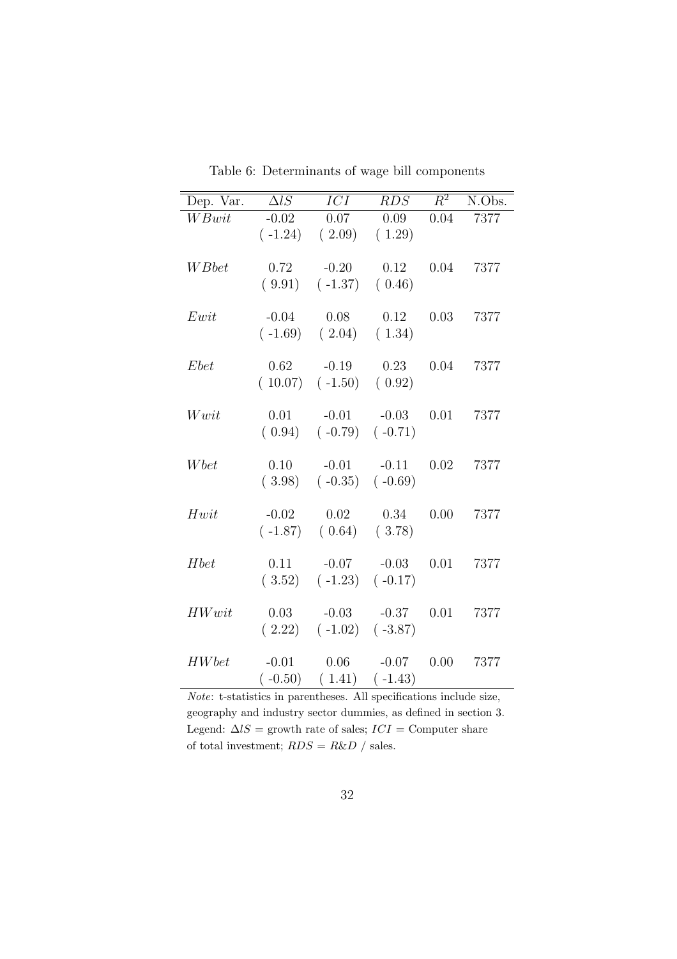| Dep. Var.          | $\overline{\Delta l}S$ | $\overline{ICI}$                    | RDS       | $\overline{R^2}$ | N.Obs. |
|--------------------|------------------------|-------------------------------------|-----------|------------------|--------|
| $\overline{WBwit}$ | $-0.02$                | 0.07                                | 0.09      | 0.04             | 7377   |
|                    |                        | $(-1.24)$ $(2.09)$                  | (1.29)    |                  |        |
|                    |                        |                                     |           |                  |        |
| W Bbet             | 0.72                   | $-0.20$                             | 0.12      | 0.04             | 7377   |
|                    |                        | $(9.91)$ $(-1.37)$ $(0.46)$         |           |                  |        |
| Ewit               | $-0.04$                | 0.08                                | 0.12      | 0.03             | 7377   |
|                    |                        | $(-1.69)$ $(2.04)$ $(1.34)$         |           |                  |        |
|                    |                        |                                     |           |                  |        |
| Ebet               | 0.62                   | $-0.19$                             | 0.23      | 0.04             | 7377   |
|                    |                        | $(10.07)$ $(-1.50)$ $(0.92)$        |           |                  |        |
|                    |                        |                                     |           |                  |        |
| Wwit               | 0.01                   | $-0.01$                             | $-0.03$   | 0.01             | 7377   |
|                    |                        | $(0.94)$ $(-0.79)$ $(-0.71)$        |           |                  |        |
|                    |                        |                                     |           |                  |        |
| Wbet               | 0.10                   | $-0.01$ $-0.11$                     |           | 0.02             | 7377   |
|                    |                        | $(3.98)$ $(-0.35)$ $(-0.69)$        |           |                  |        |
| Hwit               |                        |                                     |           | 0.00             |        |
|                    | $-0.02$                | 0.02<br>$(-1.87)$ $(0.64)$ $(3.78)$ | 0.34      |                  | 7377   |
|                    |                        |                                     |           |                  |        |
| Hbet               | 0.11                   | $-0.07$ $-0.03$                     |           | 0.01             | 7377   |
|                    |                        | $(3.52)$ $(-1.23)$ $(-0.17)$        |           |                  |        |
|                    |                        |                                     |           |                  |        |
| HWwit              | 0.03                   | $-0.03 - 0.37$                      |           | 0.01             | 7377   |
|                    |                        | $(2.22)$ $(-1.02)$ $(-3.87)$        |           |                  |        |
|                    |                        |                                     |           |                  |        |
| <b>HW</b> bet      | $-0.01$                | 0.06                                | $-0.07$   | 0.00             | 7377   |
|                    | $(-0.50)$              | (1.41)                              | $(-1.43)$ |                  |        |

Table 6: Determinants of wage bill components

 $Note:$  t-statistics in parentheses. All specifications include size, geography and industry sector dummies, as defined in section 3. Legend:  $\Delta lS$  = growth rate of sales;  $ICI =$  Computer share of total investment;  $RDS = R\&D /$  sales.